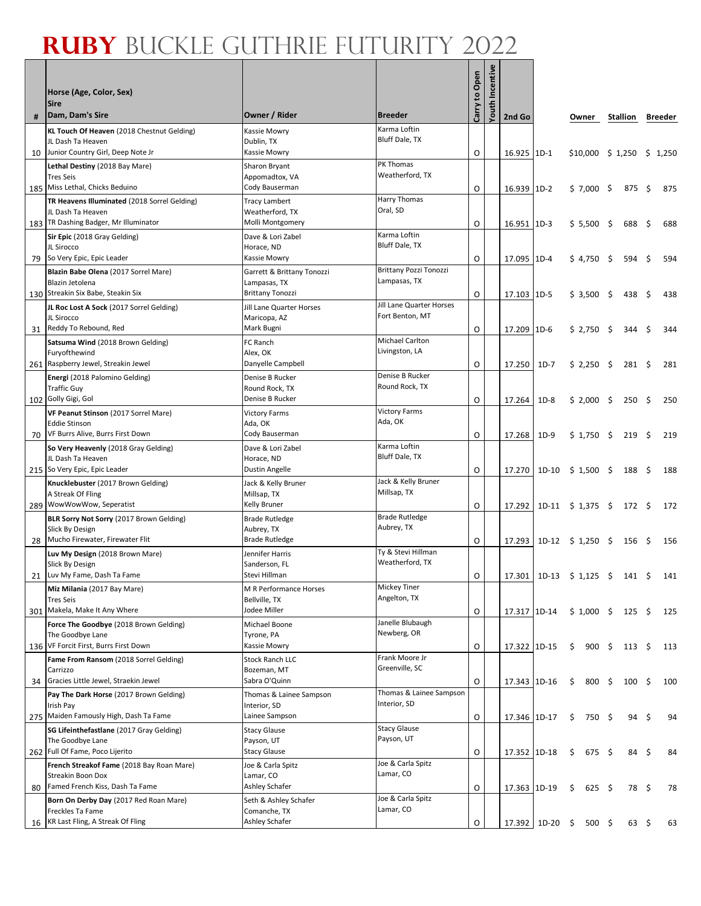٦

Г

|    | Horse (Age, Color, Sex)<br><b>Sire</b>                     |                                         |                                       | Carry to Open | Incentive<br>Youth |              |              |                                         |      |                |      |         |
|----|------------------------------------------------------------|-----------------------------------------|---------------------------------------|---------------|--------------------|--------------|--------------|-----------------------------------------|------|----------------|------|---------|
| #  | Dam, Dam's Sire                                            | Owner / Rider                           | <b>Breeder</b>                        |               |                    | 2nd Go       |              | Owner                                   |      | Stallion       |      | Breeder |
|    | KL Touch Of Heaven (2018 Chestnut Gelding)                 | Kassie Mowry                            | Karma Loftin                          |               |                    |              |              |                                         |      |                |      |         |
|    | JL Dash Ta Heaven                                          | Dublin, TX                              | Bluff Dale, TX                        |               |                    |              |              |                                         |      |                |      |         |
| 10 | Junior Country Girl, Deep Note Jr                          | Kassie Mowry                            |                                       | O             |                    | 16.925 1D-1  |              | $$10,000 \$1,250 \$1,250$               |      |                |      |         |
|    | Lethal Destiny (2018 Bay Mare)                             | Sharon Bryant                           | PK Thomas                             |               |                    |              |              |                                         |      |                |      |         |
|    | <b>Tres Seis</b>                                           | Appomadtox, VA                          | Weatherford, TX                       |               |                    |              |              |                                         |      |                |      |         |
|    | 185 Miss Lethal, Chicks Beduino                            | Cody Bauserman                          |                                       | O             |                    | 16.939 1D-2  |              | $$7,000$ \$                             |      | $875 \;$ \$    |      | 875     |
|    | TR Heavens Illuminated (2018 Sorrel Gelding)               | Tracy Lambert                           | Harry Thomas                          |               |                    |              |              |                                         |      |                |      |         |
|    | JL Dash Ta Heaven                                          | Weatherford, TX                         | Oral, SD                              |               |                    |              |              |                                         |      |                |      |         |
|    | 183   TR Dashing Badger, Mr Illuminator                    | Molli Montgomery                        |                                       | O             |                    | 16.951 1D-3  |              | $$5,500$ \$                             |      | 688            | - \$ | 688     |
|    | Sir Epic (2018 Gray Gelding)                               | Dave & Lori Zabel                       | Karma Loftin                          |               |                    |              |              |                                         |      |                |      |         |
|    | JL Sirocco                                                 | Horace, ND                              | Bluff Dale, TX                        |               |                    |              |              |                                         |      |                |      |         |
| 79 | So Very Epic, Epic Leader                                  | Kassie Mowry                            |                                       | O             |                    | 17.095 1D-4  |              | \$4,750                                 | -\$  | 594            | \$   | 594     |
|    | Blazin Babe Olena (2017 Sorrel Mare)                       | Garrett & Brittany Tonozzi              | <b>Brittany Pozzi Tonozzi</b>         |               |                    |              |              |                                         |      |                |      |         |
|    | Blazin Jetolena                                            | Lampasas, TX                            | Lampasas, TX                          |               |                    |              |              |                                         |      |                |      |         |
|    | 130 Streakin Six Babe, Steakin Six                         | <b>Brittany Tonozzi</b>                 |                                       | O             |                    | 17.103 1D-5  |              | \$3,500                                 | - \$ | 438            | \$   | 438     |
|    | JL Roc Lost A Sock (2017 Sorrel Gelding)                   | Jill Lane Quarter Horses                | Jill Lane Quarter Horses              |               |                    |              |              |                                         |      |                |      |         |
|    | JL Sirocco                                                 | Maricopa, AZ                            | Fort Benton, MT                       |               |                    |              |              |                                         |      |                |      |         |
|    | 31 Reddy To Rebound, Red                                   | Mark Bugni                              |                                       | O             |                    | 17.209 1D-6  |              | \$2,750                                 | - \$ | 344            | \$   | 344     |
|    | Satsuma Wind (2018 Brown Gelding)                          | FC Ranch                                | <b>Michael Carlton</b>                |               |                    |              |              |                                         |      |                |      |         |
|    | Furyofthewind                                              | Alex, OK                                | Livingston, LA                        |               |                    |              |              |                                         |      |                |      |         |
|    | 261 Raspberry Jewel, Streakin Jewel                        | Danyelle Campbell                       |                                       | O             |                    | 17.250       | $1D-7$       | \$2.250                                 | - \$ | $281 \quad $5$ |      | 281     |
|    | Energi (2018 Palomino Gelding)                             | Denise B Rucker                         | Denise B Rucker                       |               |                    |              |              |                                         |      |                |      |         |
|    | <b>Traffic Guy</b>                                         | Round Rock, TX                          | Round Rock, TX                        |               |                    |              |              |                                         |      |                |      |         |
|    | 102 Golly Gigi, Gol                                        | Denise B Rucker                         |                                       | O             |                    | 17.264       | $1D-8$       | $$2,000$ \$                             |      | $250 \div$     |      | 250     |
|    | VF Peanut Stinson (2017 Sorrel Mare)                       | <b>Victory Farms</b>                    | <b>Victory Farms</b>                  |               |                    |              |              |                                         |      |                |      |         |
|    | Eddie Stinson                                              | Ada, OK                                 | Ada, OK                               |               |                    |              |              |                                         |      |                |      |         |
|    | 70 VF Burrs Alive, Burrs First Down                        | Cody Bauserman                          |                                       | O             |                    | 17.268       | $1D-9$       | $$1,750$ \$                             |      | 219            | - \$ | 219     |
|    | So Very Heavenly (2018 Gray Gelding)                       | Dave & Lori Zabel                       | Karma Loftin                          |               |                    |              |              |                                         |      |                |      |         |
|    | JL Dash Ta Heaven                                          | Horace, ND                              | Bluff Dale, TX                        |               |                    |              |              |                                         |      |                |      |         |
|    | 215 So Very Epic, Epic Leader                              | Dustin Angelle                          |                                       | O             |                    | 17.270       |              |                                         |      | 188 \$         |      | 188     |
|    | Knucklebuster (2017 Brown Gelding)                         | Jack & Kelly Bruner                     | Jack & Kelly Bruner                   |               |                    |              |              |                                         |      |                |      |         |
|    | A Streak Of Fling                                          | Millsap, TX                             | Millsap, TX                           |               |                    |              |              |                                         |      |                |      |         |
|    | 289 WowWowWow, Seperatist                                  | Kelly Bruner                            |                                       | O             |                    | 17.292       |              | 1D-11 $\frac{1}{2}$ 1,375 $\frac{1}{2}$ |      | 172 \$         |      | 172     |
|    | BLR Sorry Not Sorry (2017 Brown Gelding)                   | <b>Brade Rutledge</b>                   | <b>Brade Rutledge</b>                 |               |                    |              |              |                                         |      |                |      |         |
|    | Slick By Design                                            | Aubrey, TX                              | Aubrey, TX                            |               |                    |              |              |                                         |      |                |      |         |
| 28 | Mucho Firewater, Firewater Flit                            | <b>Brade Rutledge</b>                   |                                       | O             |                    | 17.293       |              | $1D-12 \div 1,250 \div$                 |      | $156 \; \S$    |      | 156     |
|    | Luv My Design (2018 Brown Mare)                            | Jennifer Harris                         | Ty & Stevi Hillman<br>Weatherford, TX |               |                    |              |              |                                         |      |                |      |         |
|    | Slick By Design<br>21 Luv My Fame, Dash Ta Fame            | Sanderson, FL<br>Stevi Hillman          |                                       |               |                    |              |              |                                         |      |                |      |         |
|    |                                                            |                                         | Mickey Tiner                          | O             |                    |              |              | 17.301 1D-13 \$ 1,125 \$                |      | 141 \$         |      | 141     |
|    | Miz Milania (2017 Bay Mare)<br>Tres Seis                   | M R Performance Horses<br>Bellville, TX | Angelton, TX                          |               |                    |              |              |                                         |      |                |      |         |
|    | 301 Makela, Make It Any Where                              | Jodee Miller                            |                                       | 0             |                    | 17.317 1D-14 |              | $$1,000$ \$                             |      | 125 \$         |      | 125     |
|    |                                                            |                                         | Janelle Blubaugh                      |               |                    |              |              |                                         |      |                |      |         |
|    | Force The Goodbye (2018 Brown Gelding)<br>The Goodbye Lane | Michael Boone<br>Tyrone, PA             | Newberg, OR                           |               |                    |              |              |                                         |      |                |      |         |
|    | 136 VF Forcit First, Burrs First Down                      | Kassie Mowry                            |                                       | O             |                    | 17.322 1D-15 |              | \$<br>900 \$                            |      | $113 \quad$ \$ |      | 113     |
|    |                                                            |                                         | Frank Moore Jr                        |               |                    |              |              |                                         |      |                |      |         |
|    | Fame From Ransom (2018 Sorrel Gelding)<br>Carrizzo         | <b>Stock Ranch LLC</b><br>Bozeman, MT   | Greenville, SC                        |               |                    |              |              |                                         |      |                |      |         |
| 34 | Gracies Little Jewel, Straekin Jewel                       | Sabra O'Quinn                           |                                       | O             |                    | 17.343 1D-16 |              | \$<br>$800 \div$                        |      | $100 \div$     |      | 100     |
|    | Pay The Dark Horse (2017 Brown Gelding)                    | Thomas & Lainee Sampson                 | Thomas & Lainee Sampson               |               |                    |              |              |                                         |      |                |      |         |
|    | Irish Pay                                                  | Interior, SD                            | Interior, SD                          |               |                    |              |              |                                         |      |                |      |         |
|    | 275 Maiden Famously High, Dash Ta Fame                     | Lainee Sampson                          |                                       | O             |                    | 17.346 1D-17 |              | \$<br>750\$                             |      | 94             | \$   | 94      |
|    | SG Lifeinthefastlane (2017 Gray Gelding)                   | <b>Stacy Glause</b>                     | <b>Stacy Glause</b>                   |               |                    |              |              |                                         |      |                |      |         |
|    | The Goodbye Lane                                           | Payson, UT                              | Payson, UT                            |               |                    |              |              |                                         |      |                |      |         |
|    | 262 Full Of Fame, Poco Lijerito                            | <b>Stacy Glause</b>                     |                                       | O             |                    | 17.352 1D-18 |              | \$<br>$675 \quad$ \$                    |      | 84             | -\$  | 84      |
|    | French Streakof Fame (2018 Bay Roan Mare)                  | Joe & Carla Spitz                       | Joe & Carla Spitz                     |               |                    |              |              |                                         |      |                |      |         |
|    | Streakin Boon Dox                                          | Lamar, CO                               | Lamar, CO                             |               |                    |              |              |                                         |      |                |      |         |
| 80 | Famed French Kiss, Dash Ta Fame                            | Ashley Schafer                          |                                       | O             |                    | 17.363 1D-19 |              | \$<br>$625$ \$                          |      | 78\$           |      | 78      |
|    | Born On Derby Day (2017 Red Roan Mare)                     | Seth & Ashley Schafer                   | Joe & Carla Spitz                     |               |                    |              |              |                                         |      |                |      |         |
|    | Freckles Ta Fame                                           | Comanche, TX                            | Lamar, CO                             |               |                    |              |              |                                         |      |                |      |         |
|    | 16   KR Last Fling, A Streak Of Fling                      | Ashley Schafer                          |                                       | O             |                    |              | 17.392 1D-20 | $$500$ \$                               |      | $63 \quad$ \$  |      | 63      |
|    |                                                            |                                         |                                       |               |                    |              |              |                                         |      |                |      |         |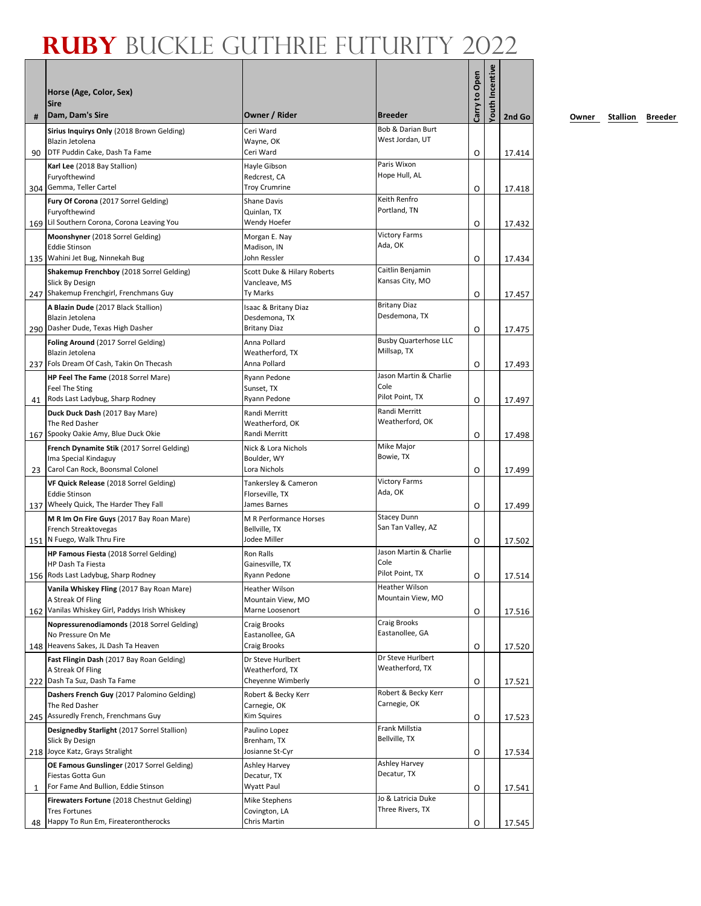| #  | Horse (Age, Color, Sex)<br><b>Sire</b><br>Dam, Dam's Sire           | Owner / Rider                        | <b>Breeder</b>                              | Carry to Open | fouth Incentive | 2nd Go |
|----|---------------------------------------------------------------------|--------------------------------------|---------------------------------------------|---------------|-----------------|--------|
|    | Sirius Inquirys Only (2018 Brown Gelding)                           | Ceri Ward                            | <b>Bob &amp; Darian Burt</b>                |               |                 |        |
|    | Blazin Jetolena                                                     | Wayne, OK                            | West Jordan, UT                             |               |                 |        |
| 90 | DTF Puddin Cake, Dash Ta Fame<br>Karl Lee (2018 Bay Stallion)       | Ceri Ward<br>Hayle Gibson            | Paris Wixon                                 | O             |                 | 17.414 |
|    | Furyofthewind<br>304 Gemma, Teller Cartel                           | Redcrest, CA<br><b>Troy Crumrine</b> | Hope Hull, AL                               | O             |                 |        |
|    | Fury Of Corona (2017 Sorrel Gelding)                                | <b>Shane Davis</b>                   | Keith Renfro                                |               |                 | 17.418 |
|    | Furyofthewind                                                       | Quinlan, TX                          | Portland, TN                                |               |                 |        |
|    | 169 Lil Southern Corona, Corona Leaving You                         | Wendy Hoefer                         | <b>Victory Farms</b>                        | O             |                 | 17.432 |
|    | Moonshyner (2018 Sorrel Gelding)<br><b>Eddie Stinson</b>            | Morgan E. Nay<br>Madison, IN         | Ada, OK                                     |               |                 |        |
|    | 135 Wahini Jet Bug, Ninnekah Bug                                    | John Ressler                         |                                             | O             |                 | 17.434 |
|    | <b>Shakemup Frenchboy</b> (2018 Sorrel Gelding)                     | Scott Duke & Hilary Roberts          | Caitlin Benjamin                            |               |                 |        |
|    | Slick By Design<br>247 Shakemup Frenchgirl, Frenchmans Guy          | Vancleave, MS<br>Ty Marks            | Kansas City, MO                             | O             |                 | 17.457 |
|    | A Blazin Dude (2017 Black Stallion)                                 | Isaac & Britany Diaz                 | <b>Britany Diaz</b>                         |               |                 |        |
|    | Blazin Jetolena                                                     | Desdemona, TX                        | Desdemona, TX                               |               |                 |        |
|    | 290   Dasher Dude, Texas High Dasher                                | <b>Britany Diaz</b>                  |                                             | O             |                 | 17.475 |
|    | Foling Around (2017 Sorrel Gelding)<br><b>Blazin Jetolena</b>       | Anna Pollard<br>Weatherford, TX      | <b>Busby Quarterhose LLC</b><br>Millsap, TX |               |                 |        |
|    | 237   Fols Dream Of Cash, Takin On Thecash                          | Anna Pollard                         |                                             | O             |                 | 17.493 |
|    | HP Feel The Fame (2018 Sorrel Mare)                                 | Ryann Pedone                         | Jason Martin & Charlie                      |               |                 |        |
|    | Feel The Sting                                                      | Sunset, TX                           | Cole<br>Pilot Point, TX                     |               |                 |        |
| 41 | Rods Last Ladybug, Sharp Rodney<br>Duck Duck Dash (2017 Bay Mare)   | Ryann Pedone<br>Randi Merritt        | Randi Merritt                               | O             |                 | 17.497 |
|    | The Red Dasher                                                      | Weatherford, OK                      | Weatherford, OK                             |               |                 |        |
|    | 167 Spooky Oakie Amy, Blue Duck Okie                                | Randi Merritt                        |                                             | O             |                 | 17.498 |
|    | French Dynamite Stik (2017 Sorrel Gelding)<br>Ima Special Kindaguy  | Nick & Lora Nichols<br>Boulder, WY   | Mike Major<br>Bowie, TX                     |               |                 |        |
| 23 | Carol Can Rock, Boonsmal Colonel                                    | Lora Nichols                         |                                             | O             |                 | 17.499 |
|    | VF Quick Release (2018 Sorrel Gelding)                              | Tankersley & Cameron                 | <b>Victory Farms</b>                        |               |                 |        |
|    | Eddie Stinson<br>137 Wheely Quick, The Harder They Fall             | Florseville, TX<br>James Barnes      | Ada, OK                                     |               |                 |        |
|    | M R Im On Fire Guys (2017 Bay Roan Mare)                            | M R Performance Horses               | <b>Stacey Dunn</b>                          | O             |                 | 17.499 |
|    | French Streaktovegas                                                | Bellville, TX                        | San Tan Valley, AZ                          |               |                 |        |
|    | 151 N Fuego, Walk Thru Fire                                         | Jodee Miller                         |                                             | O             |                 | 17.502 |
|    | <b>HP Famous Fiesta</b> (2018 Sorrel Gelding)<br>HP Dash Ta Fiesta  | <b>Ron Ralls</b><br>Gainesville, TX  | Jason Martin & Charlie<br>Cole              |               |                 |        |
|    | 156 Rods Last Ladybug, Sharp Rodney                                 | Ryann Pedone                         | Pilot Point, TX                             | O             |                 | 17.514 |
|    | Vanila Whiskey Fling (2017 Bay Roan Mare)                           | Heather Wilson                       | Heather Wilson                              |               |                 |        |
|    | A Streak Of Fling<br>162 Vanilas Whiskey Girl, Paddys Irish Whiskey | Mountain View, MO<br>Marne Loosenort | Mountain View, MO                           |               |                 |        |
|    | Nopressurenodiamonds (2018 Sorrel Gelding)                          | <b>Craig Brooks</b>                  | <b>Craig Brooks</b>                         | O             |                 | 17.516 |
|    | No Pressure On Me                                                   | Eastanollee, GA                      | Eastanollee, GA                             |               |                 |        |
|    | 148 Heavens Sakes, JL Dash Ta Heaven                                | Craig Brooks                         |                                             | O             |                 | 17.520 |
|    | Fast Flingin Dash (2017 Bay Roan Gelding)<br>A Streak Of Fling      | Dr Steve Hurlbert<br>Weatherford, TX | Dr Steve Hurlbert<br>Weatherford, TX        |               |                 |        |
|    | 222 Dash Ta Suz, Dash Ta Fame                                       | Cheyenne Wimberly                    |                                             | O             |                 | 17.521 |
|    | Dashers French Guy (2017 Palomino Gelding)                          | Robert & Becky Kerr                  | Robert & Becky Kerr                         |               |                 |        |
|    | The Red Dasher<br>245 Assuredly French, Frenchmans Guy              | Carnegie, OK<br>Kim Squires          | Carnegie, OK                                |               |                 |        |
|    | Designedby Starlight (2017 Sorrel Stallion)                         | Paulino Lopez                        | Frank Millstia                              | O             |                 | 17.523 |
|    | Slick By Design                                                     | Brenham, TX                          | Bellville, TX                               |               |                 |        |
|    | 218 Joyce Katz, Grays Stralight                                     | Josianne St-Cyr                      |                                             | O             |                 | 17.534 |
|    | OE Famous Gunslinger (2017 Sorrel Gelding)<br>Fiestas Gotta Gun     | Ashley Harvey<br>Decatur, TX         | Ashley Harvey<br>Decatur, TX                |               |                 |        |
| 1  | For Fame And Bullion, Eddie Stinson                                 | Wyatt Paul                           |                                             | 0             |                 | 17.541 |
|    | <b>Firewaters Fortune (2018 Chestnut Gelding)</b>                   | Mike Stephens                        | Jo & Latricia Duke                          |               |                 |        |
|    | Tres Fortunes                                                       | Covington, LA                        | Three Rivers, TX                            |               |                 |        |
| 48 | Happy To Run Em, Fireaterontherocks                                 | Chris Martin                         |                                             | O             |                 | 17.545 |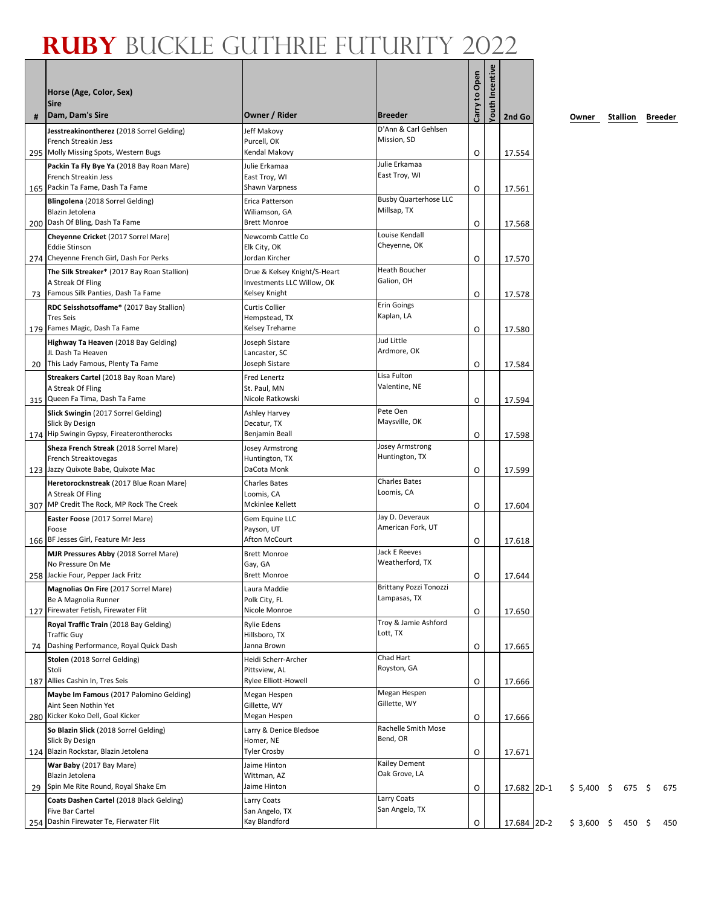|    | Horse (Age, Color, Sex)<br>Sire                                                                            |                                                            |                                               | Carry to Open | Youth Incentive |             |         |
|----|------------------------------------------------------------------------------------------------------------|------------------------------------------------------------|-----------------------------------------------|---------------|-----------------|-------------|---------|
| #  | Dam, Dam's Sire                                                                                            | Owner / Rider                                              | <b>Breeder</b>                                |               |                 | 2nd Go      | Owner   |
|    | Jesstreakinontherez (2018 Sorrel Gelding)<br>French Streakin Jess<br>295 Molly Missing Spots, Western Bugs | Jeff Makovy<br>Purcell, OK<br>Kendal Makovy                | D'Ann & Carl Gehlsen<br>Mission, SD           | Ο             |                 | 17.554      |         |
|    | Packin Ta Fly Bye Ya (2018 Bay Roan Mare)                                                                  | Julie Erkamaa                                              | Julie Erkamaa                                 |               |                 |             |         |
|    | French Streakin Jess<br>165 Packin Ta Fame, Dash Ta Fame                                                   | East Troy, WI<br>Shawn Varpness                            | East Troy, WI                                 | 0             |                 | 17.561      |         |
|    | Blingolena (2018 Sorrel Gelding)<br>Blazin Jetolena<br>200 Dash Of Bling, Dash Ta Fame                     | Erica Patterson<br>Wiliamson, GA<br><b>Brett Monroe</b>    | <b>Busby Quarterhose LLC</b><br>Millsap, TX   | Ο             |                 | 17.568      |         |
|    | Cheyenne Cricket (2017 Sorrel Mare)<br><b>Eddie Stinson</b><br>274 Cheyenne French Girl, Dash For Perks    | Newcomb Cattle Co<br>Elk City, OK<br>Jordan Kircher        | Louise Kendall<br>Cheyenne, OK                |               |                 |             |         |
|    | The Silk Streaker* (2017 Bay Roan Stallion)<br>A Streak Of Fling                                           | Drue & Kelsey Knight/S-Heart<br>Investments LLC Willow, OK | Heath Boucher<br>Galion, OH                   | Ο             |                 | 17.570      |         |
| 73 | Famous Silk Panties, Dash Ta Fame                                                                          | Kelsey Knight                                              |                                               | Ο             |                 | 17.578      |         |
|    | RDC Seisshotsoffame* (2017 Bay Stallion)<br><b>Tres Seis</b>                                               | <b>Curtis Collier</b><br>Hempstead, TX                     | <b>Erin Goings</b><br>Kaplan, LA              |               |                 |             |         |
|    | 179 Fames Magic, Dash Ta Fame                                                                              | Kelsey Treharne                                            | Jud Little                                    | 0             |                 | 17.580      |         |
| 20 | Highway Ta Heaven (2018 Bay Gelding)<br>JL Dash Ta Heaven<br>This Lady Famous, Plenty Ta Fame              | Joseph Sistare<br>Lancaster, SC<br>Joseph Sistare          | Ardmore, OK                                   | 0             |                 | 17.584      |         |
|    | Streakers Cartel (2018 Bay Roan Mare)<br>A Streak Of Fling<br>315 Queen Fa Tima, Dash Ta Fame              | Fred Lenertz<br>St. Paul, MN<br>Nicole Ratkowski           | Lisa Fulton<br>Valentine, NE                  | O             |                 | 17.594      |         |
|    | Slick Swingin (2017 Sorrel Gelding)<br>Slick By Design                                                     | Ashley Harvey<br>Decatur, TX                               | Pete Oen<br>Maysville, OK                     |               |                 |             |         |
|    | 174 Hip Swingin Gypsy, Fireaterontherocks                                                                  | Benjamin Beall                                             |                                               | 0             |                 | 17.598      |         |
|    | Sheza French Streak (2018 Sorrel Mare)                                                                     | Josey Armstrong                                            | Josey Armstrong<br>Huntington, TX             |               |                 |             |         |
|    | French Streaktovegas<br>123 Jazzy Quixote Babe, Quixote Mac                                                | Huntington, TX<br>DaCota Monk                              |                                               | Ο             |                 | 17.599      |         |
|    | Heretorocknstreak (2017 Blue Roan Mare)<br>A Streak Of Fling                                               | <b>Charles Bates</b><br>Loomis, CA                         | <b>Charles Bates</b><br>Loomis, CA            |               |                 |             |         |
|    | 307 MP Credit The Rock, MP Rock The Creek                                                                  | Mckinlee Kellett                                           |                                               | O             |                 | 17.604      |         |
|    | Easter Foose (2017 Sorrel Mare)<br>Foose<br>166 BF Jesses Girl, Feature Mr Jess                            | Gem Equine LLC<br>Payson, UT<br>Afton McCourt              | Jay D. Deveraux<br>American Fork, UT          | Ο             |                 | 17.618      |         |
|    | MJR Pressures Abby (2018 Sorrel Mare)<br>No Pressure On Me                                                 | <b>Brett Monroe</b><br>Gay, GA                             | <b>Jack E Reeves</b><br>Weatherford, TX       |               |                 |             |         |
|    | 258 Jackie Four, Pepper Jack Fritz                                                                         | <b>Brett Monroe</b>                                        |                                               | O             |                 | 17.644      |         |
|    | Magnolias On Fire (2017 Sorrel Mare)<br>Be A Magnolia Runner<br>127 Firewater Fetish, Firewater Flit       | Laura Maddie<br>Polk City, FL<br>Nicole Monroe             | <b>Brittany Pozzi Tonozzi</b><br>Lampasas, TX | O             |                 | 17.650      |         |
|    | Royal Traffic Train (2018 Bay Gelding)<br><b>Traffic Guy</b>                                               | <b>Rylie Edens</b><br>Hillsboro, TX                        | Troy & Jamie Ashford<br>Lott, TX              |               |                 |             |         |
|    | 74 Dashing Performance, Royal Quick Dash                                                                   | Janna Brown                                                |                                               | О             |                 | 17.665      |         |
|    | Stolen (2018 Sorrel Gelding)<br>Stoli                                                                      | Heidi Scherr-Archer<br>Pittsview, AL                       | Chad Hart<br>Royston, GA                      |               |                 |             |         |
|    | 187 Allies Cashin In, Tres Seis<br>Maybe Im Famous (2017 Palomino Gelding)                                 | Rylee Elliott-Howell<br>Megan Hespen                       | Megan Hespen                                  | Ο             |                 | 17.666      |         |
|    | Aint Seen Nothin Yet<br>280 Kicker Koko Dell, Goal Kicker                                                  | Gillette, WY<br>Megan Hespen                               | Gillette, WY                                  | 0             |                 | 17.666      |         |
|    | So Blazin Slick (2018 Sorrel Gelding)<br>Slick By Design                                                   | Larry & Denice Bledsoe<br>Homer, NE                        | Rachelle Smith Mose<br>Bend, OR               |               |                 |             |         |
|    | 124 Blazin Rockstar, Blazin Jetolena                                                                       | <b>Tyler Crosby</b>                                        |                                               | Ο             |                 | 17.671      |         |
| 29 | War Baby (2017 Bay Mare)<br>Blazin Jetolena<br>Spin Me Rite Round, Royal Shake Em                          | Jaime Hinton<br>Wittman, AZ<br>Jaime Hinton                | Kailey Dement<br>Oak Grove, LA                | Ο             |                 | 17.682 2D-1 | \$5,400 |
|    | Coats Dashen Cartel (2018 Black Gelding)<br>Five Bar Cartel                                                | Larry Coats<br>San Angelo, TX                              | Larry Coats<br>San Angelo, TX                 |               |                 |             |         |
|    | 254 Dashin Firewater Te, Fierwater Flit                                                                    | Kay Blandford                                              |                                               | O             |                 | 17.684 2D-2 | \$3,600 |

**2nd Go Owner Stallion Breeder**

 $$675 \$675$ 

 $$450 \$450$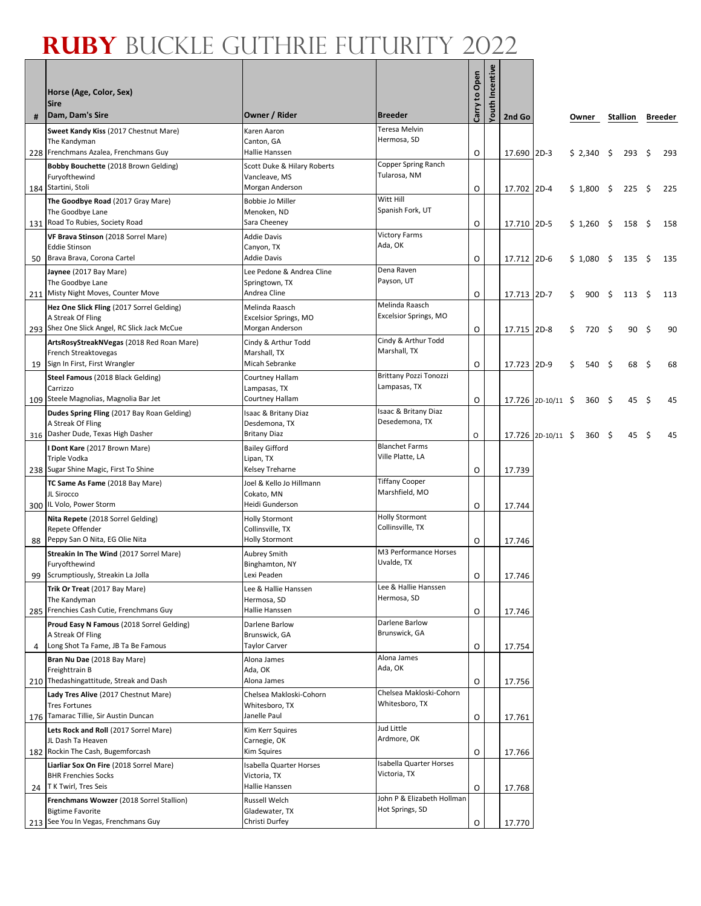٦

Г

|    | Horse (Age, Color, Sex)<br><b>Sire</b>                                                |                                           |                                         | Carry to Open | Incentive |             |                    |             |      |               |     |         |
|----|---------------------------------------------------------------------------------------|-------------------------------------------|-----------------------------------------|---------------|-----------|-------------|--------------------|-------------|------|---------------|-----|---------|
| #  | Dam, Dam's Sire                                                                       | Owner / Rider                             | <b>Breeder</b>                          |               | Youth     | 2nd Go      |                    | Owner       |      | Stallion      |     | Breeder |
|    | Sweet Kandy Kiss (2017 Chestnut Mare)                                                 | Karen Aaron                               | Teresa Melvin                           |               |           |             |                    |             |      |               |     |         |
|    | The Kandyman<br>228 Frenchmans Azalea, Frenchmans Guy                                 | Canton, GA<br>Hallie Hanssen              | Hermosa, SD                             | O             |           |             |                    |             |      |               |     | 293     |
|    | Bobby Bouchette (2018 Brown Gelding)                                                  | Scott Duke & Hilary Roberts               | Copper Spring Ranch                     |               |           | 17.690 2D-3 |                    | \$2,340     | - \$ | 293           | \$  |         |
|    | Furyofthewind                                                                         | Vancleave, MS                             | Tularosa, NM                            |               |           |             |                    |             |      |               |     |         |
|    | 184 Startini, Stoli                                                                   | Morgan Anderson                           |                                         | O             |           | 17.702 2D-4 |                    | $$1,800$ \$ |      | 225           | \$  | 225     |
|    | The Goodbye Road (2017 Gray Mare)<br>The Goodbye Lane                                 | <b>Bobbie Jo Miller</b><br>Menoken, ND    | Witt Hill<br>Spanish Fork, UT           |               |           |             |                    |             |      |               |     |         |
|    | 131 Road To Rubies, Society Road                                                      | Sara Cheeney                              |                                         | O             |           | 17.710 2D-5 |                    | $$1,260$ \$ |      | 158           | \$  | 158     |
|    | VF Brava Stinson (2018 Sorrel Mare)                                                   | <b>Addie Davis</b>                        | <b>Victory Farms</b>                    |               |           |             |                    |             |      |               |     |         |
| 50 | <b>Eddie Stinson</b><br>Brava Brava, Corona Cartel                                    | Canyon, TX<br>Addie Davis                 | Ada, OK                                 | O             |           | 17.712 2D-6 |                    | \$1,080     | - \$ | 135           | \$  | 135     |
|    | Jaynee (2017 Bay Mare)                                                                | Lee Pedone & Andrea Cline                 | Dena Raven                              |               |           |             |                    |             |      |               |     |         |
|    | The Goodbye Lane                                                                      | Springtown, TX                            | Payson, UT                              |               |           |             |                    |             |      |               |     |         |
|    | 211 Misty Night Moves, Counter Move                                                   | Andrea Cline                              | Melinda Raasch                          | O             |           | 17.713 2D-7 |                    | \$<br>900   | - \$ | $113 \quad 5$ |     | 113     |
|    | Hez One Slick Fling (2017 Sorrel Gelding)<br>A Streak Of Fling                        | Melinda Raasch<br>Excelsior Springs, MO   | Excelsior Springs, MO                   |               |           |             |                    |             |      |               |     |         |
|    | 293 Shez One Slick Angel, RC Slick Jack McCue                                         | Morgan Anderson                           |                                         | O             |           | 17.715 2D-8 |                    | \$<br>720   | - \$ | 90            | -\$ | 90      |
|    | ArtsRosyStreakNVegas (2018 Red Roan Mare)                                             | Cindy & Arthur Todd                       | Cindy & Arthur Todd                     |               |           |             |                    |             |      |               |     |         |
|    | French Streaktovegas<br>19 Sign In First, First Wrangler                              | Marshall, TX<br>Micah Sebranke            | Marshall, TX                            | O             |           | 17.723 2D-9 |                    | \$<br>540   | - \$ | 68            | \$  | 68      |
|    | Steel Famous (2018 Black Gelding)                                                     | Courtney Hallam                           | <b>Brittany Pozzi Tonozzi</b>           |               |           |             |                    |             |      |               |     |         |
|    | Carrizzo                                                                              | Lampasas, TX                              | Lampasas, TX                            |               |           |             |                    |             |      |               |     |         |
|    | 109 Steele Magnolias, Magnolia Bar Jet                                                | Courtney Hallam                           | Isaac & Britany Diaz                    | O             |           |             | 17.726 2D-10/11 \$ | 360         | - \$ | 45            | S   | 45      |
|    | Dudes Spring Fling (2017 Bay Roan Gelding)<br>A Streak Of Fling                       | Isaac & Britany Diaz<br>Desdemona, TX     | Desedemona, TX                          |               |           |             |                    |             |      |               |     |         |
|    | 316 Dasher Dude, Texas High Dasher                                                    | <b>Britany Diaz</b>                       |                                         | O             |           |             | 17.726 2D-10/11 \$ | $360 \div$  |      | 45            | S   | 45      |
|    | I Dont Kare (2017 Brown Mare)                                                         | <b>Bailey Gifford</b>                     | <b>Blanchet Farms</b>                   |               |           |             |                    |             |      |               |     |         |
|    | Triple Vodka<br>238 Sugar Shine Magic, First To Shine                                 | Lipan, TX<br>Kelsey Treharne              | Ville Platte, LA                        | O             |           | 17.739      |                    |             |      |               |     |         |
|    | TC Same As Fame (2018 Bay Mare)                                                       | Joel & Kello Jo Hillmann                  | <b>Tiffany Cooper</b>                   |               |           |             |                    |             |      |               |     |         |
|    | JL Sirocco                                                                            | Cokato, MN                                | Marshfield, MO                          |               |           |             |                    |             |      |               |     |         |
|    | 300 IL Volo, Power Storm                                                              | Heidi Gunderson                           | <b>Holly Stormont</b>                   | O             |           | 17.744      |                    |             |      |               |     |         |
|    | Nita Repete (2018 Sorrel Gelding)<br>Repete Offender                                  | <b>Holly Stormont</b><br>Collinsville, TX | Collinsville, TX                        |               |           |             |                    |             |      |               |     |         |
| 88 | Peppy San O Nita, EG Olie Nita                                                        | <b>Holly Stormont</b>                     |                                         | O             |           | 17.746      |                    |             |      |               |     |         |
|    | <b>Streakin In The Wind (2017 Sorrel Mare)</b>                                        | Aubrey Smith                              | M3 Performance Horses<br>Uvalde, TX     |               |           |             |                    |             |      |               |     |         |
|    | Furyofthewind<br>99 Scrumptiously, Streakin La Jolla                                  | Binghamton, NY<br>Lexi Peaden             |                                         | $\circ$       |           | 17.746      |                    |             |      |               |     |         |
|    | Trik Or Treat (2017 Bay Mare)                                                         | Lee & Hallie Hanssen                      | Lee & Hallie Hanssen                    |               |           |             |                    |             |      |               |     |         |
|    | The Kandyman                                                                          | Hermosa, SD                               | Hermosa, SD                             |               |           |             |                    |             |      |               |     |         |
|    | 285 Frenchies Cash Cutie, Frenchmans Guy<br>Proud Easy N Famous (2018 Sorrel Gelding) | Hallie Hanssen<br>Darlene Barlow          | Darlene Barlow                          | O             |           | 17.746      |                    |             |      |               |     |         |
|    | A Streak Of Fling                                                                     | Brunswick, GA                             | Brunswick, GA                           |               |           |             |                    |             |      |               |     |         |
| 4  | Long Shot Ta Fame, JB Ta Be Famous                                                    | <b>Taylor Carver</b>                      |                                         | 0             |           | 17.754      |                    |             |      |               |     |         |
|    | Bran Nu Dae (2018 Bay Mare)<br>Freighttrain B                                         | Alona James<br>Ada, OK                    | Alona James<br>Ada, OK                  |               |           |             |                    |             |      |               |     |         |
|    | 210 Thedashingattitude, Streak and Dash                                               | Alona James                               |                                         | O             |           | 17.756      |                    |             |      |               |     |         |
|    | Lady Tres Alive (2017 Chestnut Mare)                                                  | Chelsea Makloski-Cohorn                   | Chelsea Makloski-Cohorn                 |               |           |             |                    |             |      |               |     |         |
|    | <b>Tres Fortunes</b><br>176 Tamarac Tillie, Sir Austin Duncan                         | Whitesboro, TX<br>Janelle Paul            | Whitesboro, TX                          |               |           |             |                    |             |      |               |     |         |
|    | Lets Rock and Roll (2017 Sorrel Mare)                                                 | Kim Kerr Squires                          | Jud Little                              | O             |           | 17.761      |                    |             |      |               |     |         |
|    | JL Dash Ta Heaven                                                                     | Carnegie, OK                              | Ardmore, OK                             |               |           |             |                    |             |      |               |     |         |
|    | 182 Rockin The Cash, Bugemforcash                                                     | Kim Squires                               |                                         | O             |           | 17.766      |                    |             |      |               |     |         |
|    | Liarliar Sox On Fire (2018 Sorrel Mare)<br><b>BHR Frenchies Socks</b>                 | Isabella Quarter Horses<br>Victoria, TX   | Isabella Quarter Horses<br>Victoria, TX |               |           |             |                    |             |      |               |     |         |
| 24 | T K Twirl, Tres Seis                                                                  | Hallie Hanssen                            |                                         | O             |           | 17.768      |                    |             |      |               |     |         |
|    | Frenchmans Wowzer (2018 Sorrel Stallion)                                              | Russell Welch                             | John P & Elizabeth Hollman              |               |           |             |                    |             |      |               |     |         |
|    | <b>Bigtime Favorite</b><br>213 See You In Vegas, Frenchmans Guy                       | Gladewater, TX<br>Christi Durfey          | Hot Springs, SD                         | O             |           | 17.770      |                    |             |      |               |     |         |
|    |                                                                                       |                                           |                                         |               |           |             |                    |             |      |               |     |         |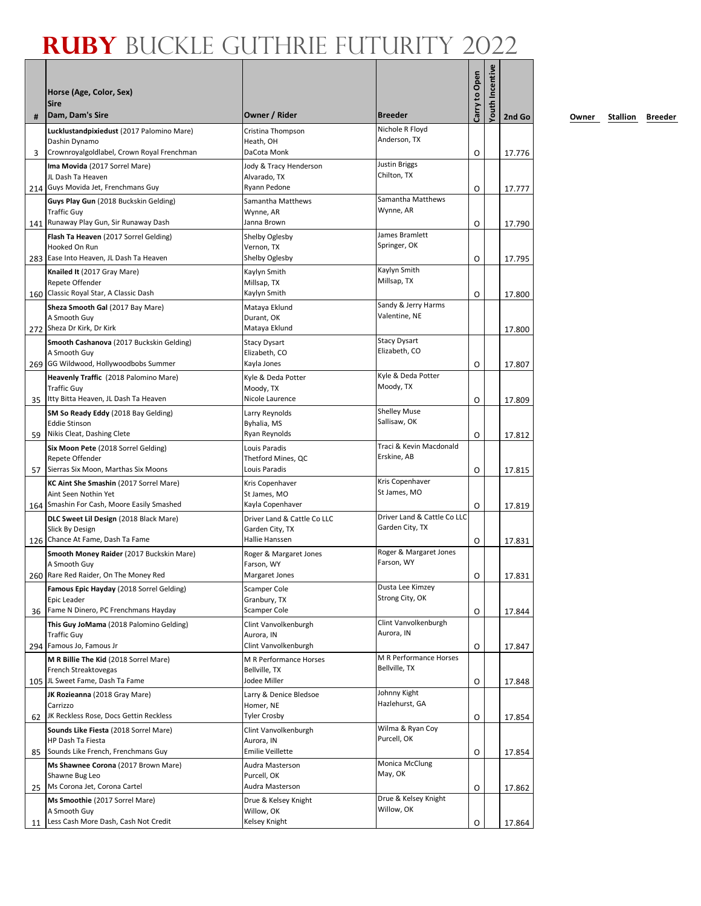| #   | Horse (Age, Color, Sex)<br><b>Sire</b><br>Dam, Dam's Sire      | Owner / Rider                               | <b>Breeder</b>                       | Carry to Open | fouth Incentive | 2nd Go |
|-----|----------------------------------------------------------------|---------------------------------------------|--------------------------------------|---------------|-----------------|--------|
|     | Lucklustandpixiedust (2017 Palomino Mare)                      | Cristina Thompson                           | Nichole R Floyd                      |               |                 |        |
|     | Dashin Dynamo                                                  | Heath, OH                                   | Anderson, TX                         |               |                 |        |
| 3   | Crownroyalgoldlabel, Crown Royal Frenchman                     | DaCota Monk                                 |                                      | O             |                 | 17.776 |
|     | Ima Movida (2017 Sorrel Mare)<br>JL Dash Ta Heaven             | Jody & Tracy Henderson<br>Alvarado, TX      | Justin Briggs<br>Chilton, TX         |               |                 |        |
|     | 214 Guys Movida Jet, Frenchmans Guy                            | Ryann Pedone                                |                                      | O             |                 | 17.777 |
|     | Guys Play Gun (2018 Buckskin Gelding)                          | Samantha Matthews                           | Samantha Matthews                    |               |                 |        |
|     | <b>Traffic Guy</b>                                             | Wynne, AR                                   | Wynne, AR                            |               |                 |        |
|     | 141 Runaway Play Gun, Sir Runaway Dash                         | Janna Brown                                 | James Bramlett                       | O             |                 | 17.790 |
|     | Flash Ta Heaven (2017 Sorrel Gelding)<br>Hooked On Run         | Shelby Oglesby<br>Vernon, TX                | Springer, OK                         |               |                 |        |
|     | 283 Ease Into Heaven, JL Dash Ta Heaven                        | Shelby Oglesby                              |                                      | O             |                 | 17.795 |
|     | Knailed It (2017 Gray Mare)                                    | Kaylyn Smith                                | Kaylyn Smith                         |               |                 |        |
|     | Repete Offender<br>160 Classic Royal Star, A Classic Dash      | Millsap, TX<br>Kaylyn Smith                 | Millsap, TX                          | O             |                 | 17.800 |
|     | Sheza Smooth Gal (2017 Bay Mare)                               | Mataya Eklund                               | Sandy & Jerry Harms                  |               |                 |        |
|     | A Smooth Guy                                                   | Durant, OK                                  | Valentine, NE                        |               |                 |        |
|     | 272 Sheza Dr Kirk, Dr Kirk                                     | Mataya Eklund                               |                                      |               |                 | 17.800 |
|     | Smooth Cashanova (2017 Buckskin Gelding)                       | <b>Stacy Dysart</b>                         | <b>Stacy Dysart</b><br>Elizabeth, CO |               |                 |        |
|     | A Smooth Guy<br>269 GG Wildwood, Hollywoodbobs Summer          | Elizabeth, CO<br>Kayla Jones                |                                      | O             |                 | 17.807 |
|     | Heavenly Traffic (2018 Palomino Mare)                          | Kyle & Deda Potter                          | Kyle & Deda Potter                   |               |                 |        |
|     | <b>Traffic Guy</b>                                             | Moody, TX                                   | Moody, TX                            |               |                 |        |
| 35  | Itty Bitta Heaven, JL Dash Ta Heaven                           | Nicole Laurence                             |                                      | O             |                 | 17.809 |
|     | SM So Ready Eddy (2018 Bay Gelding)<br><b>Eddie Stinson</b>    | Larry Reynolds<br>Byhalia, MS               | <b>Shelley Muse</b><br>Sallisaw, OK  |               |                 |        |
| 59  | Nikis Cleat, Dashing Clete                                     | Ryan Reynolds                               |                                      | O             |                 | 17.812 |
|     | Six Moon Pete (2018 Sorrel Gelding)                            | Louis Paradis                               | Traci & Kevin Macdonald              |               |                 |        |
|     | Repete Offender                                                | Thetford Mines, QC                          | Erskine, AB                          |               |                 |        |
| 57  | Sierras Six Moon, Marthas Six Moons                            | Louis Paradis                               | Kris Copenhaver                      | O             |                 | 17.815 |
|     | KC Aint She Smashin (2017 Sorrel Mare)<br>Aint Seen Nothin Yet | Kris Copenhaver<br>St James, MO             | St James, MO                         |               |                 |        |
|     | 164 Smashin For Cash, Moore Easily Smashed                     | Kayla Copenhaver                            |                                      | O             |                 | 17.819 |
|     | DLC Sweet Lil Design (2018 Black Mare)                         | Driver Land & Cattle Co LLC                 | Driver Land & Cattle Co LLC          |               |                 |        |
|     | Slick By Design<br>126 Chance At Fame, Dash Ta Fame            | Garden City, TX<br><b>Hallie Hanssen</b>    | Garden City, TX                      |               |                 |        |
|     | Smooth Money Raider (2017 Buckskin Mare)                       | Roger & Margaret Jones                      | Roger & Margaret Jones               | O             |                 | 17.831 |
|     | A Smooth Guy                                                   | Farson, WY                                  | Farson, WY                           |               |                 |        |
|     | 260 Rare Red Raider, On The Money Red                          | Margaret Jones                              |                                      | 0             |                 | 17.831 |
|     | Famous Epic Hayday (2018 Sorrel Gelding)                       | Scamper Cole                                | Dusta Lee Kimzey<br>Strong City, OK  |               |                 |        |
| 36  | Epic Leader<br>Fame N Dinero, PC Frenchmans Hayday             | Granbury, TX<br>Scamper Cole                |                                      | O             |                 | 17.844 |
|     | This Guy JoMama (2018 Palomino Gelding)                        | Clint Vanvolkenburgh                        | Clint Vanvolkenburgh                 |               |                 |        |
|     | <b>Traffic Guy</b>                                             | Aurora, IN                                  | Aurora, IN                           |               |                 |        |
|     | 294 Famous Jo, Famous Jr                                       | Clint Vanvolkenburgh                        | M R Performance Horses               | O             |                 | 17.847 |
|     | M R Billie The Kid (2018 Sorrel Mare)<br>French Streaktovegas  | M R Performance Horses<br>Bellville, TX     | Bellville, TX                        |               |                 |        |
| 105 | JL Sweet Fame, Dash Ta Fame                                    | Jodee Miller                                |                                      | 0             |                 | 17.848 |
|     | JK Rozieanna (2018 Gray Mare)                                  | Larry & Denice Bledsoe                      | Johnny Kight                         |               |                 |        |
|     | Carrizzo<br>JK Reckless Rose, Docs Gettin Reckless             | Homer, NE                                   | Hazlehurst, GA                       |               |                 |        |
| 62  | Sounds Like Fiesta (2018 Sorrel Mare)                          | <b>Tyler Crosby</b><br>Clint Vanvolkenburgh | Wilma & Ryan Coy                     | O             |                 | 17.854 |
|     | HP Dash Ta Fiesta                                              | Aurora, IN                                  | Purcell, OK                          |               |                 |        |
| 85  | Sounds Like French, Frenchmans Guy                             | <b>Emilie Veillette</b>                     |                                      | O             |                 | 17.854 |
|     | Ms Shawnee Corona (2017 Brown Mare)                            | Audra Masterson                             | Monica McClung<br>May, OK            |               |                 |        |
| 25  | Shawne Bug Leo<br>Ms Corona Jet, Corona Cartel                 | Purcell, OK<br>Audra Masterson              |                                      | O             |                 | 17.862 |
|     | Ms Smoothie (2017 Sorrel Mare)                                 | Drue & Kelsey Knight                        | Drue & Kelsey Knight                 |               |                 |        |
|     | A Smooth Guy                                                   | Willow, OK                                  | Willow, OK                           |               |                 |        |
| 11  | Less Cash More Dash, Cash Not Credit                           | Kelsey Knight                               |                                      | O             |                 | 17.864 |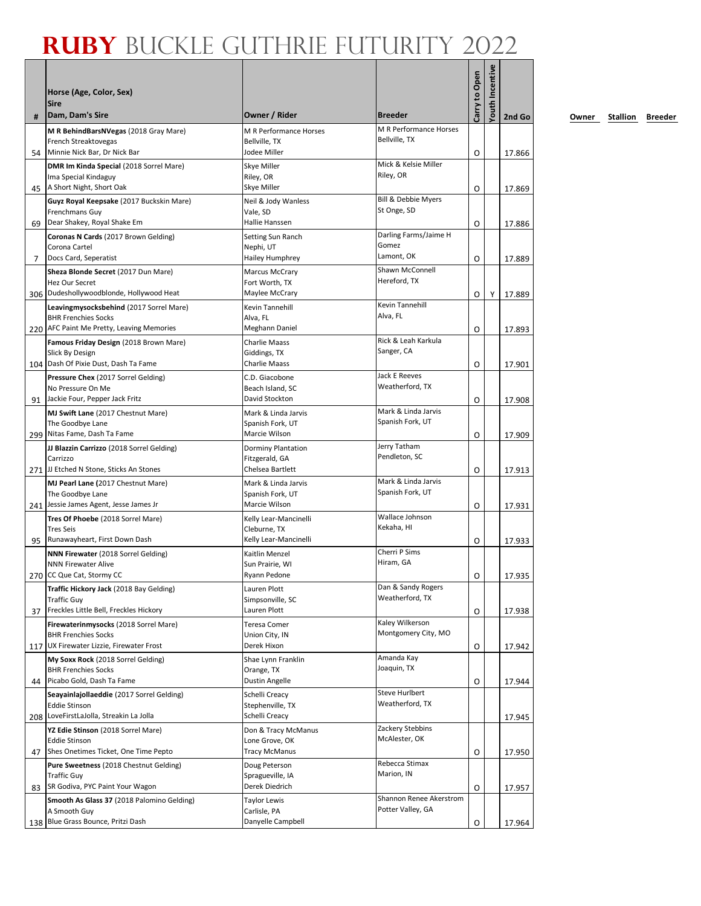| #  | Horse (Age, Color, Sex)<br><b>Sire</b><br>Dam, Dam's Sire               | Owner / Rider                         | <b>Breeder</b>                     | Carry to Open | fouth Incentive | 2nd Go |
|----|-------------------------------------------------------------------------|---------------------------------------|------------------------------------|---------------|-----------------|--------|
|    | M R BehindBarsNVegas (2018 Gray Mare)                                   | M R Performance Horses                | M R Performance Horses             |               |                 |        |
|    | French Streaktovegas                                                    | Bellville, TX                         | Bellville, TX                      |               |                 |        |
| 54 | Minnie Nick Bar, Dr Nick Bar                                            | Jodee Miller                          |                                    | O             |                 | 17.866 |
|    | DMR Im Kinda Special (2018 Sorrel Mare)<br>Ima Special Kindaguy         | Skye Miller<br>Riley, OR              | Mick & Kelsie Miller<br>Riley, OR  |               |                 |        |
| 45 | A Short Night, Short Oak                                                | Skye Miller                           |                                    | O             |                 | 17.869 |
|    | Guyz Royal Keepsake (2017 Buckskin Mare)                                | Neil & Jody Wanless                   | Bill & Debbie Myers                |               |                 |        |
|    | Frenchmans Guy                                                          | Vale, SD                              | St Onge, SD                        |               |                 |        |
| 69 | Dear Shakey, Royal Shake Em                                             | Hallie Hanssen                        |                                    | O             |                 | 17.886 |
|    | <b>Coronas N Cards (2017 Brown Gelding)</b><br>Corona Cartel            | Setting Sun Ranch<br>Nephi, UT        | Darling Farms/Jaime H<br>Gomez     |               |                 |        |
| 7  | Docs Card, Seperatist                                                   | Hailey Humphrey                       | Lamont, OK                         | O             |                 | 17.889 |
|    | Sheza Blonde Secret (2017 Dun Mare)                                     | <b>Marcus McCrary</b>                 | Shawn McConnell                    |               |                 |        |
|    | Hez Our Secret                                                          | Fort Worth, TX                        | Hereford, TX                       |               |                 |        |
|    | 306 Dudeshollywoodblonde, Hollywood Heat                                | Maylee McCrary                        |                                    | O             | Υ               | 17.889 |
|    | Leavingmysocksbehind (2017 Sorrel Mare)                                 | Kevin Tannehill                       | <b>Kevin Tannehill</b><br>Alva, FL |               |                 |        |
|    | <b>BHR Frenchies Socks</b><br>220 AFC Paint Me Pretty, Leaving Memories | Alva, FL<br>Meghann Daniel            |                                    | O             |                 | 17.893 |
|    | Famous Friday Design (2018 Brown Mare)                                  | Charlie Maass                         | Rick & Leah Karkula                |               |                 |        |
|    | Slick By Design                                                         | Giddings, TX                          | Sanger, CA                         |               |                 |        |
|    | 104 Dash Of Pixie Dust, Dash Ta Fame                                    | Charlie Maass                         |                                    | O             |                 | 17.901 |
|    | Pressure Chex (2017 Sorrel Gelding)                                     | C.D. Giacobone                        | <b>Jack E Reeves</b>               |               |                 |        |
| 91 | No Pressure On Me<br>Jackie Four, Pepper Jack Fritz                     | Beach Island, SC<br>David Stockton    | Weatherford, TX                    | O             |                 | 17.908 |
|    | MJ Swift Lane (2017 Chestnut Mare)                                      | Mark & Linda Jarvis                   | Mark & Linda Jarvis                |               |                 |        |
|    | The Goodbye Lane                                                        | Spanish Fork, UT                      | Spanish Fork, UT                   |               |                 |        |
|    | 299 Nitas Fame, Dash Ta Fame                                            | Marcie Wilson                         |                                    | O             |                 | 17.909 |
|    | JJ Blazzin Carrizzo (2018 Sorrel Gelding)                               | <b>Dorminy Plantation</b>             | Jerry Tatham                       |               |                 |        |
|    | Carrizzo<br>271 JJ Etched N Stone, Sticks An Stones                     | Fitzgerald, GA<br>Chelsea Bartlett    | Pendleton, SC                      |               |                 |        |
|    | MJ Pearl Lane (2017 Chestnut Mare)                                      | Mark & Linda Jarvis                   | Mark & Linda Jarvis                | O             |                 | 17.913 |
|    | The Goodbye Lane                                                        | Spanish Fork, UT                      | Spanish Fork, UT                   |               |                 |        |
|    | 241 Jessie James Agent, Jesse James Jr                                  | Marcie Wilson                         |                                    | O             |                 | 17.931 |
|    | Tres Of Phoebe (2018 Sorrel Mare)                                       | Kelly Lear-Mancinelli                 | Wallace Johnson                    |               |                 |        |
|    | <b>Tres Seis</b><br>Runawayheart, First Down Dash                       | Cleburne, TX<br>Kelly Lear-Mancinelli | Kekaha, HI                         |               |                 |        |
| 95 | <b>NNN Firewater</b> (2018 Sorrel Gelding)                              | Kaitlin Menzel                        | Cherri P Sims                      | O             |                 | 17.933 |
|    | <b>NNN Firewater Alive</b>                                              | Sun Prairie, WI                       | Hiram, GA                          |               |                 |        |
|    | 270 CC Que Cat, Stormy CC                                               | Ryann Pedone                          |                                    | O             |                 | 17.935 |
|    | Traffic Hickory Jack (2018 Bay Gelding)                                 | Lauren Plott                          | Dan & Sandy Rogers                 |               |                 |        |
|    | <b>Traffic Guy</b><br>Freckles Little Bell, Freckles Hickory            | Simpsonville, SC<br>Lauren Plott      | Weatherford, TX                    |               |                 |        |
| 37 | Firewaterinmysocks (2018 Sorrel Mare)                                   | <b>Teresa Comer</b>                   | Kaley Wilkerson                    | O             |                 | 17.938 |
|    | <b>BHR Frenchies Socks</b>                                              | Union City, IN                        | Montgomery City, MO                |               |                 |        |
|    | 117 UX Firewater Lizzie, Firewater Frost                                | Derek Hixon                           |                                    | O             |                 | 17.942 |
|    | My Soxx Rock (2018 Sorrel Gelding)                                      | Shae Lynn Franklin                    | Amanda Kay                         |               |                 |        |
|    | <b>BHR Frenchies Socks</b><br>Picabo Gold, Dash Ta Fame                 | Orange, TX<br>Dustin Angelle          | Joaquin, TX                        |               |                 |        |
| 44 | Seayainlajollaeddie (2017 Sorrel Gelding)                               | Schelli Creacy                        | Steve Hurlbert                     | O             |                 | 17.944 |
|    | Eddie Stinson                                                           | Stephenville, TX                      | Weatherford, TX                    |               |                 |        |
|    | 208 LoveFirstLaJolla, Streakin La Jolla                                 | Schelli Creacy                        |                                    |               |                 | 17.945 |
|    | YZ Edie Stinson (2018 Sorrel Mare)                                      | Don & Tracy McManus                   | Zackery Stebbins                   |               |                 |        |
|    | <b>Eddie Stinson</b><br>Shes Onetimes Ticket, One Time Pepto            | Lone Grove, OK<br>Tracy McManus       | McAlester, OK                      |               |                 |        |
| 47 |                                                                         | Doug Peterson                         | Rebecca Stimax                     | O             |                 | 17.950 |
|    | <b>Pure Sweetness (2018 Chestnut Gelding)</b><br><b>Traffic Guy</b>     | Spragueville, IA                      | Marion, IN                         |               |                 |        |
| 83 | SR Godiva, PYC Paint Your Wagon                                         | Derek Diedrich                        |                                    | O             |                 | 17.957 |
|    | Smooth As Glass 37 (2018 Palomino Gelding)                              | <b>Taylor Lewis</b>                   | Shannon Renee Akerstrom            |               |                 |        |
|    | A Smooth Guy<br>138 Blue Grass Bounce, Pritzi Dash                      | Carlisle, PA<br>Danyelle Campbell     | Potter Valley, GA                  |               |                 |        |
|    |                                                                         |                                       |                                    | O             |                 | 17.964 |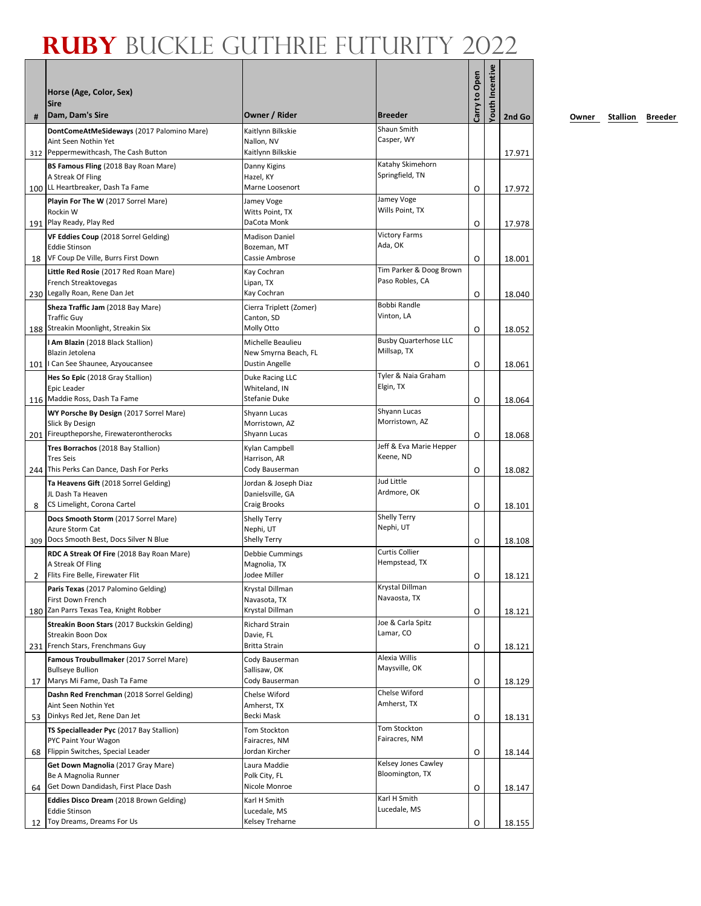| #   | Horse (Age, Color, Sex)<br>Sire<br>Dam, Dam's Sire                       | Owner / Rider                                 | <b>Breeder</b>                              | Carry to Open | Youth Incentive | 2nd Go |
|-----|--------------------------------------------------------------------------|-----------------------------------------------|---------------------------------------------|---------------|-----------------|--------|
|     | DontComeAtMeSideways (2017 Palomino Mare)                                | Kaitlynn Bilkskie                             | Shaun Smith                                 |               |                 |        |
|     | Aint Seen Nothin Yet                                                     | Nallon, NV                                    | Casper, WY                                  |               |                 |        |
|     | 312 Peppermewithcash, The Cash Button                                    | Kaitlynn Bilkskie                             |                                             |               |                 | 17.971 |
|     | BS Famous Fling (2018 Bay Roan Mare)                                     | Danny Kigins                                  | Katahy Skimehorn                            |               |                 |        |
|     | A Streak Of Fling                                                        | Hazel, KY<br>Marne Loosenort                  | Springfield, TN                             |               |                 |        |
|     | 100 LL Heartbreaker, Dash Ta Fame<br>Playin For The W (2017 Sorrel Mare) |                                               | Jamey Voge                                  | O             |                 | 17.972 |
|     | Rockin W                                                                 | Jamey Voge<br>Witts Point, TX                 | Wills Point, TX                             |               |                 |        |
|     | 191 Play Ready, Play Red                                                 | DaCota Monk                                   |                                             | O             |                 | 17.978 |
|     | VF Eddies Coup (2018 Sorrel Gelding)                                     | <b>Madison Daniel</b>                         | <b>Victory Farms</b>                        |               |                 |        |
|     | <b>Eddie Stinson</b>                                                     | Bozeman, MT                                   | Ada, OK                                     |               |                 |        |
| 18  | VF Coup De Ville, Burrs First Down                                       | Cassie Ambrose                                | Tim Parker & Doog Brown                     | O             |                 | 18.001 |
|     | Little Red Rosie (2017 Red Roan Mare)<br>French Streaktovegas            | Kay Cochran<br>Lipan, TX                      | Paso Robles, CA                             |               |                 |        |
|     | 230 Legally Roan, Rene Dan Jet                                           | Kay Cochran                                   |                                             | O             |                 | 18.040 |
|     | Sheza Traffic Jam (2018 Bay Mare)                                        | Cierra Triplett (Zomer)                       | Bobbi Randle                                |               |                 |        |
|     | <b>Traffic Guy</b>                                                       | Canton, SD                                    | Vinton, LA                                  |               |                 |        |
|     | 188 Streakin Moonlight, Streakin Six                                     | Molly Otto                                    |                                             | O             |                 | 18.052 |
|     | I Am Blazin (2018 Black Stallion)<br>Blazin Jetolena                     | Michelle Beaulieu                             | <b>Busby Quarterhose LLC</b><br>Millsap, TX |               |                 |        |
|     | 101   Can See Shaunee, Azyoucansee                                       | New Smyrna Beach, FL<br><b>Dustin Angelle</b> |                                             | O             |                 | 18.061 |
|     | Hes So Epic (2018 Gray Stallion)                                         | Duke Racing LLC                               | Tyler & Naia Graham                         |               |                 |        |
|     | Epic Leader                                                              | Whiteland, IN                                 | Elgin, TX                                   |               |                 |        |
|     | 116   Maddie Ross, Dash Ta Fame                                          | <b>Stefanie Duke</b>                          |                                             | O             |                 | 18.064 |
|     | WY Porsche By Design (2017 Sorrel Mare)                                  | Shyann Lucas                                  | Shyann Lucas<br>Morristown, AZ              |               |                 |        |
|     | Slick By Design<br>201 Fireuptheporshe, Firewaterontherocks              | Morristown, AZ<br>Shyann Lucas                |                                             | O             |                 | 18.068 |
|     | Tres Borrachos (2018 Bay Stallion)                                       | Kylan Campbell                                | Jeff & Eva Marie Hepper                     |               |                 |        |
|     | <b>Tres Seis</b>                                                         | Harrison, AR                                  | Keene, ND                                   |               |                 |        |
|     | 244 This Perks Can Dance, Dash For Perks                                 | Cody Bauserman                                |                                             | O             |                 | 18.082 |
|     | Ta Heavens Gift (2018 Sorrel Gelding)                                    | Jordan & Joseph Diaz                          | Jud Little                                  |               |                 |        |
|     | JL Dash Ta Heaven<br>CS Limelight, Corona Cartel                         | Danielsville, GA<br><b>Craig Brooks</b>       | Ardmore, OK                                 |               |                 |        |
| 8   | Docs Smooth Storm (2017 Sorrel Mare)                                     | Shelly Terry                                  | <b>Shelly Terry</b>                         | O             |                 | 18.101 |
|     | Azure Storm Cat                                                          | Nephi, UT                                     | Nephi, UT                                   |               |                 |        |
| 309 | Docs Smooth Best, Docs Silver N Blue                                     | <b>Shelly Terry</b>                           |                                             | O             |                 | 18.108 |
|     | RDC A Streak Of Fire (2018 Bay Roan Mare)                                | Debbie Cummings                               | <b>Curtis Collier</b>                       |               |                 |        |
|     | A Streak Of Fling                                                        | Magnolia, TX<br>Jodee Miller                  | Hempstead, TX                               |               |                 |        |
|     | Flits Fire Belle, Firewater Flit                                         | Krystal Dillman                               | Krystal Dillman                             | 0             |                 | 18.121 |
|     | Paris Texas (2017 Palomino Gelding)<br>First Down French                 | Navasota, TX                                  | Navaosta, TX                                |               |                 |        |
|     | 180 Zan Parrs Texas Tea, Knight Robber                                   | Krystal Dillman                               |                                             | O             |                 | 18.121 |
|     | Streakin Boon Stars (2017 Buckskin Gelding)                              | <b>Richard Strain</b>                         | Joe & Carla Spitz                           |               |                 |        |
|     | Streakin Boon Dox                                                        | Davie, FL                                     | Lamar, CO                                   |               |                 |        |
|     | 231 French Stars, Frenchmans Guy                                         | <b>Britta Strain</b>                          | Alexia Willis                               | O             |                 | 18.121 |
|     | Famous Troubullmaker (2017 Sorrel Mare)<br><b>Bullseye Bullion</b>       | Cody Bauserman<br>Sallisaw, OK                | Maysville, OK                               |               |                 |        |
| 17  | Marys Mi Fame, Dash Ta Fame                                              | Cody Bauserman                                |                                             | O             |                 | 18.129 |
|     | Dashn Red Frenchman (2018 Sorrel Gelding)                                | Chelse Wiford                                 | Chelse Wiford                               |               |                 |        |
|     | Aint Seen Nothin Yet                                                     | Amherst, TX                                   | Amherst, TX                                 |               |                 |        |
| 53  | Dinkys Red Jet, Rene Dan Jet                                             | Becki Mask                                    | Tom Stockton                                | O             |                 | 18.131 |
|     | TS Specialleader Pyc (2017 Bay Stallion)<br>PYC Paint Your Wagon         | Tom Stockton<br>Fairacres, NM                 | Fairacres, NM                               |               |                 |        |
| 68  | Flippin Switches, Special Leader                                         | Jordan Kircher                                |                                             | O             |                 | 18.144 |
|     | Get Down Magnolia (2017 Gray Mare)                                       | Laura Maddie                                  | Kelsey Jones Cawley                         |               |                 |        |
|     | Be A Magnolia Runner                                                     | Polk City, FL                                 | Bloomington, TX                             |               |                 |        |
| 64  | Get Down Dandidash, First Place Dash                                     | Nicole Monroe                                 |                                             | O             |                 | 18.147 |
|     | <b>Eddies Disco Dream</b> (2018 Brown Gelding)<br><b>Eddie Stinson</b>   | Karl H Smith<br>Lucedale, MS                  | Karl H Smith<br>Lucedale, MS                |               |                 |        |
| 12  | Toy Dreams, Dreams For Us                                                | Kelsey Treharne                               |                                             | O             |                 | 18.155 |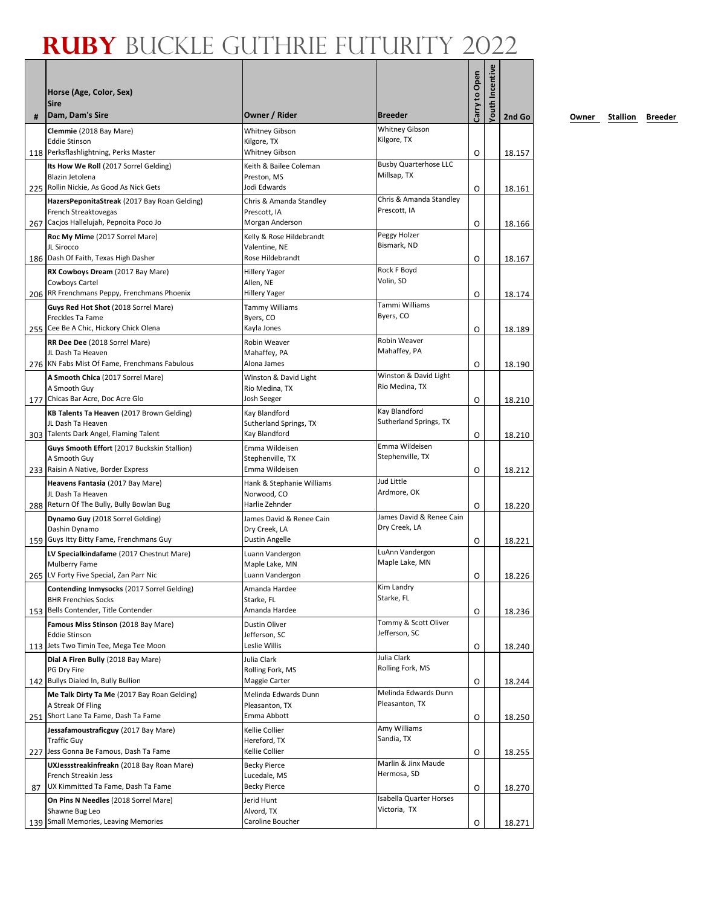| #  | Horse (Age, Color, Sex)<br><b>Sire</b><br>Dam, Dam's Sire               | Owner / Rider                                   | <b>Breeder</b>                            | Carry to Open | fouth Incentive | 2nd Go |
|----|-------------------------------------------------------------------------|-------------------------------------------------|-------------------------------------------|---------------|-----------------|--------|
|    | Clemmie (2018 Bay Mare)                                                 | <b>Whitney Gibson</b>                           | <b>Whitney Gibson</b>                     |               |                 |        |
|    | <b>Eddie Stinson</b>                                                    | Kilgore, TX                                     | Kilgore, TX                               |               |                 |        |
|    | 118 Perksflashlightning, Perks Master                                   | <b>Whitney Gibson</b><br>Keith & Bailee Coleman | <b>Busby Quarterhose LLC</b>              | O             |                 | 18.157 |
|    | Its How We Roll (2017 Sorrel Gelding)<br>Blazin Jetolena                | Preston, MS                                     | Millsap, TX                               |               |                 |        |
|    | 225 Rollin Nickie, As Good As Nick Gets                                 | Jodi Edwards                                    |                                           | O             |                 | 18.161 |
|    | HazersPeponitaStreak (2017 Bay Roan Gelding)<br>French Streaktovegas    | Chris & Amanda Standley<br>Prescott, IA         | Chris & Amanda Standley<br>Prescott, IA   |               |                 |        |
|    | 267 Cacjos Hallelujah, Pepnoita Poco Jo                                 | Morgan Anderson                                 |                                           | O             |                 | 18.166 |
|    | Roc My Mime (2017 Sorrel Mare)                                          | Kelly & Rose Hildebrandt                        | Peggy Holzer                              |               |                 |        |
|    | JL Sirocco<br>186 Dash Of Faith, Texas High Dasher                      | Valentine, NE                                   | Bismark, ND                               |               |                 |        |
|    | RX Cowboys Dream (2017 Bay Mare)                                        | Rose Hildebrandt<br><b>Hillery Yager</b>        | Rock F Boyd                               | O             |                 | 18.167 |
|    | Cowboys Cartel                                                          | Allen, NE                                       | Volin, SD                                 |               |                 |        |
|    | 206 RR Frenchmans Peppy, Frenchmans Phoenix                             | Hillery Yager                                   |                                           | O             |                 | 18.174 |
|    | Guys Red Hot Shot (2018 Sorrel Mare)                                    | <b>Tammy Williams</b><br>Byers, CO              | Tammi Williams<br>Byers, CO               |               |                 |        |
|    | Freckles Ta Fame<br>255 Cee Be A Chic, Hickory Chick Olena              | Kayla Jones                                     |                                           | O             |                 | 18.189 |
|    | RR Dee Dee (2018 Sorrel Mare)                                           | Robin Weaver                                    | Robin Weaver                              |               |                 |        |
|    | JL Dash Ta Heaven                                                       | Mahaffey, PA                                    | Mahaffey, PA                              |               |                 |        |
|    | 276 KN Fabs Mist Of Fame, Frenchmans Fabulous                           | Alona James<br>Winston & David Light            | Winston & David Light                     | O             |                 | 18.190 |
|    | A Smooth Chica (2017 Sorrel Mare)<br>A Smooth Guy                       | Rio Medina, TX                                  | Rio Medina, TX                            |               |                 |        |
|    | 177 Chicas Bar Acre, Doc Acre Glo                                       | Josh Seeger                                     |                                           | O             |                 | 18.210 |
|    | KB Talents Ta Heaven (2017 Brown Gelding)                               | Kay Blandford                                   | Kay Blandford<br>Sutherland Springs, TX   |               |                 |        |
|    | JL Dash Ta Heaven<br>303 Talents Dark Angel, Flaming Talent             | Sutherland Springs, TX<br>Kay Blandford         |                                           | O             |                 | 18.210 |
|    | Guys Smooth Effort (2017 Buckskin Stallion)                             | Emma Wildeisen                                  | Emma Wildeisen                            |               |                 |        |
|    | A Smooth Guy                                                            | Stephenville, TX                                | Stephenville, TX                          |               |                 |        |
|    | 233 Raisin A Native, Border Express<br>Heavens Fantasia (2017 Bay Mare) | Emma Wildeisen<br>Hank & Stephanie Williams     | Jud Little                                | O             |                 | 18.212 |
|    | JL Dash Ta Heaven                                                       | Norwood, CO                                     | Ardmore, OK                               |               |                 |        |
|    | 288 Return Of The Bully, Bully Bowlan Bug                               | Harlie Zehnder                                  |                                           | O             |                 | 18.220 |
|    | Dynamo Guy (2018 Sorrel Gelding)<br>Dashin Dynamo                       | James David & Renee Cain<br>Dry Creek, LA       | James David & Renee Cain<br>Dry Creek, LA |               |                 |        |
|    | 159 Guys Itty Bitty Fame, Frenchmans Guy                                | Dustin Angelle                                  |                                           | O             |                 | 18.221 |
|    | LV Specialkindafame (2017 Chestnut Mare)                                | Luann Vandergon                                 | LuAnn Vandergon                           |               |                 |        |
|    | <b>Mulberry Fame</b><br>265 LV Forty Five Special, Zan Parr Nic         | Maple Lake, MN<br>Luann Vandergon               | Maple Lake, MN                            |               |                 |        |
|    | Contending Inmysocks (2017 Sorrel Gelding)                              | Amanda Hardee                                   | Kim Landry                                | O             |                 | 18.226 |
|    | <b>BHR Frenchies Socks</b>                                              | Starke, FL                                      | Starke, FL                                |               |                 |        |
|    | 153 Bells Contender, Title Contender                                    | Amanda Hardee                                   |                                           | O             |                 | 18.236 |
|    | Famous Miss Stinson (2018 Bay Mare)<br><b>Eddie Stinson</b>             | Dustin Oliver<br>Jefferson, SC                  | Tommy & Scott Oliver<br>Jefferson, SC     |               |                 |        |
|    | 113 Jets Two Timin Tee, Mega Tee Moon                                   | Leslie Willis                                   |                                           | O             |                 | 18.240 |
|    | Dial A Firen Bully (2018 Bay Mare)                                      | Julia Clark                                     | Julia Clark                               |               |                 |        |
|    | PG Dry Fire<br>142 Bullys Dialed In, Bully Bullion                      | Rolling Fork, MS<br>Maggie Carter               | Rolling Fork, MS                          | O             |                 | 18.244 |
|    | Me Talk Dirty Ta Me (2017 Bay Roan Gelding)                             | Melinda Edwards Dunn                            | Melinda Edwards Dunn                      |               |                 |        |
|    | A Streak Of Fling                                                       | Pleasanton, TX                                  | Pleasanton, TX                            |               |                 |        |
|    | 251 Short Lane Ta Fame, Dash Ta Fame                                    | Emma Abbott                                     |                                           | O             |                 | 18.250 |
|    | Jessafamoustraficguy (2017 Bay Mare)<br><b>Traffic Guy</b>              | Kellie Collier<br>Hereford, TX                  | Amy Williams<br>Sandia, TX                |               |                 |        |
|    | 227 Jess Gonna Be Famous, Dash Ta Fame                                  | Kellie Collier                                  |                                           | O             |                 | 18.255 |
|    | UXJessstreakinfreakn (2018 Bay Roan Mare)                               | <b>Becky Pierce</b>                             | Marlin & Jinx Maude                       |               |                 |        |
| 87 | French Streakin Jess<br>UX Kimmitted Ta Fame, Dash Ta Fame              | Lucedale, MS<br>Becky Pierce                    | Hermosa, SD                               | O             |                 |        |
|    | On Pins N Needles (2018 Sorrel Mare)                                    | Jerid Hunt                                      | Isabella Quarter Horses                   |               |                 | 18.270 |
|    | Shawne Bug Leo                                                          | Alvord, TX                                      | Victoria, TX                              |               |                 |        |
|    | 139 Small Memories, Leaving Memories                                    | Caroline Boucher                                |                                           | O             |                 | 18.271 |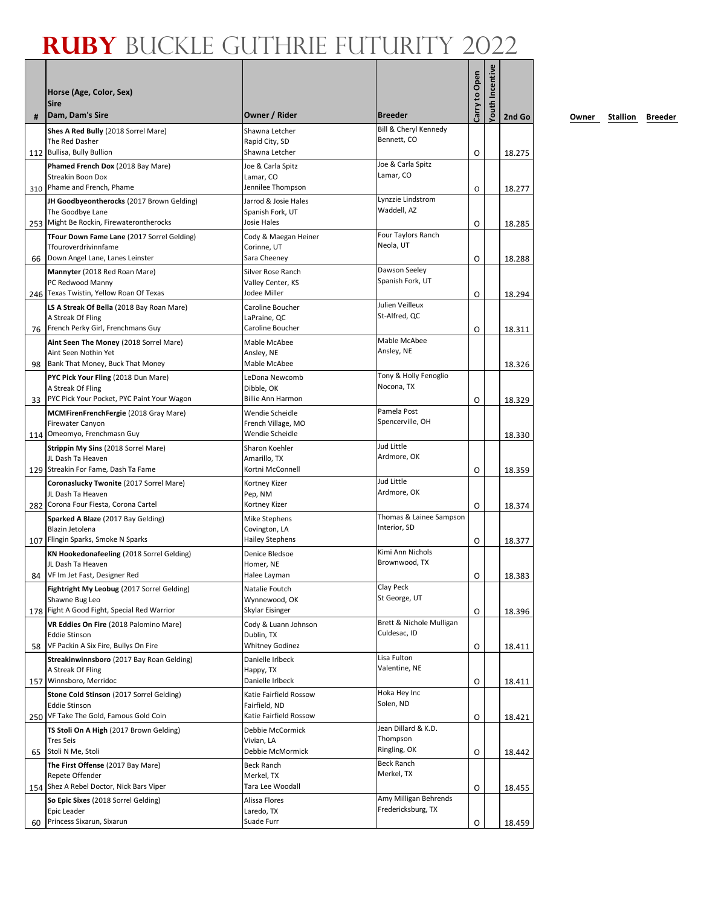| #   | Horse (Age, Color, Sex)<br><b>Sire</b><br>Dam, Dam's Sire               | Owner / Rider                           | <b>Breeder</b>                              | Carry to Open | fouth Incentive | 2nd Go |
|-----|-------------------------------------------------------------------------|-----------------------------------------|---------------------------------------------|---------------|-----------------|--------|
|     | Shes A Red Bully (2018 Sorrel Mare)                                     | Shawna Letcher                          | Bill & Cheryl Kennedy                       |               |                 |        |
|     | The Red Dasher                                                          | Rapid City, SD                          | Bennett, CO                                 |               |                 |        |
|     | 112 Bullisa, Bully Bullion                                              | Shawna Letcher                          | Joe & Carla Spitz                           | O             |                 | 18.275 |
|     | Phamed French Dox (2018 Bay Mare)<br><b>Streakin Boon Dox</b>           | Joe & Carla Spitz<br>Lamar, CO          | Lamar, CO                                   |               |                 |        |
| 310 | Phame and French, Phame                                                 | Jennilee Thompson                       |                                             | O             |                 | 18.277 |
|     | JH Goodbyeontherocks (2017 Brown Gelding)                               | Jarrod & Josie Hales                    | Lynzzie Lindstrom                           |               |                 |        |
|     | The Goodbye Lane<br>253 Might Be Rockin, Firewaterontherocks            | Spanish Fork, UT<br><b>Josie Hales</b>  | Waddell, AZ                                 | O             |                 |        |
|     | TFour Down Fame Lane (2017 Sorrel Gelding)                              | Cody & Maegan Heiner                    | Four Taylors Ranch                          |               |                 | 18.285 |
|     | Tfouroverdrivinnfame                                                    | Corinne, UT                             | Neola, UT                                   |               |                 |        |
| 66  | Down Angel Lane, Lanes Leinster                                         | Sara Cheeney                            |                                             | O             |                 | 18.288 |
|     | Mannyter (2018 Red Roan Mare)                                           | Silver Rose Ranch                       | Dawson Seeley<br>Spanish Fork, UT           |               |                 |        |
|     | PC Redwood Manny<br>246 Texas Twistin, Yellow Roan Of Texas             | Valley Center, KS<br>Jodee Miller       |                                             | O             |                 | 18.294 |
|     | LS A Streak Of Bella (2018 Bay Roan Mare)                               | Caroline Boucher                        | Julien Veilleux                             |               |                 |        |
|     | A Streak Of Fling                                                       | LaPraine, QC                            | St-Alfred, QC                               |               |                 |        |
|     | 76 French Perky Girl, Frenchmans Guy                                    | Caroline Boucher                        |                                             | O             |                 | 18.311 |
|     | Aint Seen The Money (2018 Sorrel Mare)<br>Aint Seen Nothin Yet          | Mable McAbee                            | Mable McAbee<br>Ansley, NE                  |               |                 |        |
| 98  | Bank That Money, Buck That Money                                        | Ansley, NE<br>Mable McAbee              |                                             |               |                 | 18.326 |
|     | PYC Pick Your Fling (2018 Dun Mare)                                     | LeDona Newcomb                          | Tony & Holly Fenoglio                       |               |                 |        |
|     | A Streak Of Fling                                                       | Dibble, OK                              | Nocona, TX                                  |               |                 |        |
| 33  | PYC Pick Your Pocket, PYC Paint Your Wagon                              | <b>Billie Ann Harmon</b>                |                                             | O             |                 | 18.329 |
|     | <b>MCMFirenFrenchFergie</b> (2018 Gray Mare)<br><b>Firewater Canyon</b> | Wendie Scheidle<br>French Village, MO   | Pamela Post<br>Spencerville, OH             |               |                 |        |
|     | 114 Omeomyo, Frenchmasn Guy                                             | Wendie Scheidle                         |                                             |               |                 | 18.330 |
|     | Strippin My Sins (2018 Sorrel Mare)                                     | Sharon Koehler                          | Jud Little                                  |               |                 |        |
|     | JL Dash Ta Heaven                                                       | Amarillo, TX                            | Ardmore, OK                                 |               |                 |        |
|     | 129 Streakin For Fame, Dash Ta Fame                                     | Kortni McConnell                        | Jud Little                                  | O             |                 | 18.359 |
|     | Coronaslucky Twonite (2017 Sorrel Mare)<br>JL Dash Ta Heaven            | Kortney Kizer<br>Pep, NM                | Ardmore, OK                                 |               |                 |        |
|     | 282 Corona Four Fiesta, Corona Cartel                                   | Kortney Kizer                           |                                             | O             |                 | 18.374 |
|     | Sparked A Blaze (2017 Bay Gelding)                                      | Mike Stephens                           | Thomas & Lainee Sampson                     |               |                 |        |
|     | Blazin Jetolena<br>107 Flingin Sparks, Smoke N Sparks                   | Covington, LA<br><b>Hailey Stephens</b> | Interior, SD                                |               |                 |        |
|     | KN Hookedonafeeling (2018 Sorrel Gelding)                               | Denice Bledsoe                          | Kimi Ann Nichols                            | Ο             |                 | 18.377 |
|     | JL Dash Ta Heaven                                                       | Homer, NE                               | Brownwood, TX                               |               |                 |        |
|     | 84 VF Im Jet Fast, Designer Red                                         | Halee Layman                            |                                             | O             |                 | 18.383 |
|     | Fightright My Leobug (2017 Sorrel Gelding)                              | Natalie Foutch                          | Clay Peck                                   |               |                 |        |
|     | Shawne Bug Leo<br>178 Fight A Good Fight, Special Red Warrior           | Wynnewood, OK<br>Skylar Eisinger        | St George, UT                               | O             |                 | 18.396 |
|     | VR Eddies On Fire (2018 Palomino Mare)                                  | Cody & Luann Johnson                    | Brett & Nichole Mulligan                    |               |                 |        |
|     | <b>Eddie Stinson</b>                                                    | Dublin, TX                              | Culdesac, ID                                |               |                 |        |
| 58  | VF Packin A Six Fire, Bullys On Fire                                    | <b>Whitney Godinez</b>                  |                                             | O             |                 | 18.411 |
|     | Streakinwinnsboro (2017 Bay Roan Gelding)<br>A Streak Of Fling          | Danielle Irlbeck<br>Happy, TX           | Lisa Fulton<br>Valentine, NE                |               |                 |        |
|     | 157 Winnsboro, Merridoc                                                 | Danielle Irlbeck                        |                                             | 0             |                 | 18.411 |
|     | Stone Cold Stinson (2017 Sorrel Gelding)                                | Katie Fairfield Rossow                  | Hoka Hey Inc                                |               |                 |        |
|     | <b>Eddie Stinson</b>                                                    | Fairfield, ND                           | Solen, ND                                   |               |                 |        |
|     | 250 VF Take The Gold, Famous Gold Coin                                  | Katie Fairfield Rossow                  |                                             | O             |                 | 18.421 |
|     | TS Stoli On A High (2017 Brown Gelding)<br><b>Tres Seis</b>             | Debbie McCormick<br>Vivian, LA          | Jean Dillard & K.D.<br>Thompson             |               |                 |        |
| 65  | Stoli N Me, Stoli                                                       | Debbie McMormick                        | Ringling, OK                                | O             |                 | 18.442 |
|     | The First Offense (2017 Bay Mare)                                       | Beck Ranch                              | <b>Beck Ranch</b>                           |               |                 |        |
|     | Repete Offender                                                         | Merkel, TX                              | Merkel, TX                                  |               |                 |        |
|     | 154 Shez A Rebel Doctor, Nick Bars Viper                                | Tara Lee Woodall                        |                                             | O             |                 | 18.455 |
|     | So Epic Sixes (2018 Sorrel Gelding)<br>Epic Leader                      | Alissa Flores<br>Laredo, TX             | Amy Milligan Behrends<br>Fredericksburg, TX |               |                 |        |
| 60  | Princess Sixarun, Sixarun                                               | Suade Furr                              |                                             | O             |                 | 18.459 |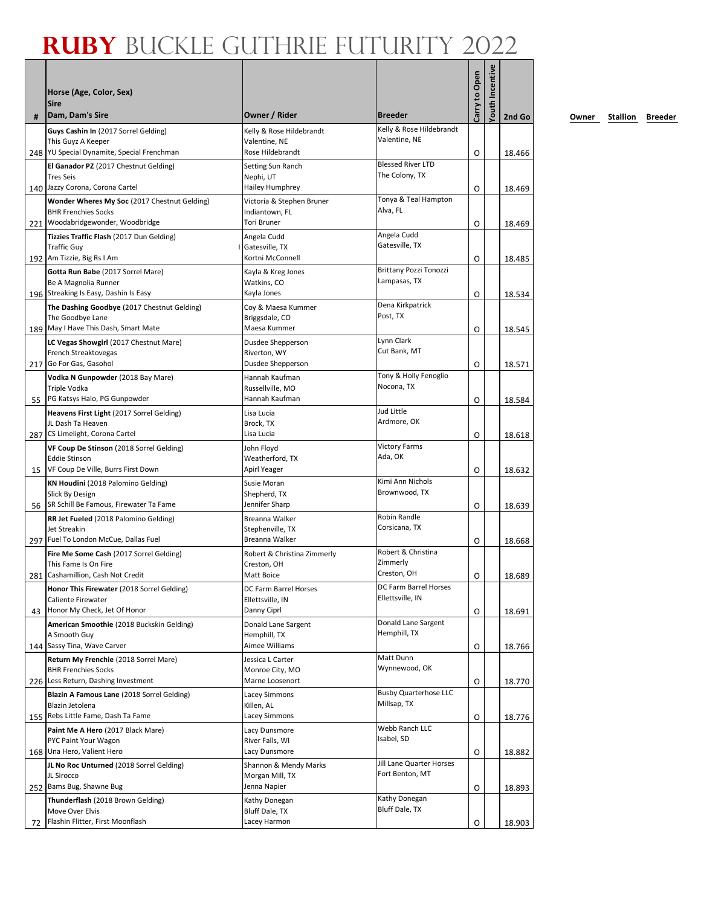| #  | Horse (Age, Color, Sex)<br><b>Sire</b><br> Dam, Dam's Sire                    | Owner / Rider                             | <b>Breeder</b>                                | Carry to Open | fouth Incentive | 2nd Go |
|----|-------------------------------------------------------------------------------|-------------------------------------------|-----------------------------------------------|---------------|-----------------|--------|
|    | Guys Cashin In (2017 Sorrel Gelding)                                          | Kelly & Rose Hildebrandt                  | Kelly & Rose Hildebrandt                      |               |                 |        |
|    | This Guyz A Keeper                                                            | Valentine, NE                             | Valentine, NE                                 |               |                 |        |
|    | 248   YU Special Dynamite, Special Frenchman                                  | Rose Hildebrandt                          | <b>Blessed River LTD</b>                      | O             |                 | 18.466 |
|    | El Ganador PZ (2017 Chestnut Gelding)<br><b>Tres Seis</b>                     | Setting Sun Ranch<br>Nephi, UT            | The Colony, TX                                |               |                 |        |
|    | 140 Jazzy Corona, Corona Cartel                                               | Hailey Humphrey                           |                                               | O             |                 | 18.469 |
|    | Wonder Wheres My Soc (2017 Chestnut Gelding)                                  | Victoria & Stephen Bruner                 | Tonya & Teal Hampton                          |               |                 |        |
|    | <b>BHR Frenchies Socks</b>                                                    | Indiantown, FL<br><b>Tori Bruner</b>      | Alva, FL                                      |               |                 |        |
|    | 221 Woodabridgewonder, Woodbridge<br>Tizzies Traffic Flash (2017 Dun Gelding) | Angela Cudd                               | Angela Cudd                                   | O             |                 | 18.469 |
|    | <b>Traffic Guy</b>                                                            | Gatesville, TX                            | Gatesville, TX                                |               |                 |        |
|    | 192 Am Tizzie, Big Rs I Am                                                    | Kortni McConnell                          |                                               | O             |                 | 18.485 |
|    | Gotta Run Babe (2017 Sorrel Mare)                                             | Kayla & Kreg Jones                        | <b>Brittany Pozzi Tonozzi</b><br>Lampasas, TX |               |                 |        |
|    | Be A Magnolia Runner<br>196 Streaking Is Easy, Dashin Is Easy                 | Watkins, CO<br>Kayla Jones                |                                               | O             |                 | 18.534 |
|    | The Dashing Goodbye (2017 Chestnut Gelding)                                   | Coy & Maesa Kummer                        | Dena Kirkpatrick                              |               |                 |        |
|    | The Goodbye Lane                                                              | Briggsdale, CO                            | Post, TX                                      |               |                 |        |
|    | 189 May I Have This Dash, Smart Mate                                          | Maesa Kummer                              |                                               | O             |                 | 18.545 |
|    | LC Vegas Showgirl (2017 Chestnut Mare)                                        | Dusdee Shepperson<br>Riverton, WY         | Lynn Clark<br>Cut Bank, MT                    |               |                 |        |
|    | French Streaktovegas<br>217 Go For Gas, Gasohol                               | Dusdee Shepperson                         |                                               | 0             |                 | 18.571 |
|    | Vodka N Gunpowder (2018 Bay Mare)                                             | Hannah Kaufman                            | Tony & Holly Fenoglio                         |               |                 |        |
|    | <b>Triple Vodka</b>                                                           | Russellville, MO                          | Nocona, TX                                    |               |                 |        |
| 55 | PG Katsys Halo, PG Gunpowder                                                  | Hannah Kaufman                            | Jud Little                                    | O             |                 | 18.584 |
|    | Heavens First Light (2017 Sorrel Gelding)<br>JL Dash Ta Heaven                | Lisa Lucia<br>Brock, TX                   | Ardmore, OK                                   |               |                 |        |
|    | 287 CS Limelight, Corona Cartel                                               | Lisa Lucia                                |                                               | O             |                 | 18.618 |
|    | VF Coup De Stinson (2018 Sorrel Gelding)                                      | John Floyd                                | <b>Victory Farms</b>                          |               |                 |        |
|    | <b>Eddie Stinson</b><br>VF Coup De Ville, Burrs First Down                    | Weatherford, TX<br>Apirl Yeager           | Ada, OK                                       |               |                 |        |
| 15 | KN Houdini (2018 Palomino Gelding)                                            | Susie Moran                               | Kimi Ann Nichols                              | O             |                 | 18.632 |
|    | Slick By Design                                                               | Shepherd, TX                              | Brownwood, TX                                 |               |                 |        |
|    | 56   SR Schill Be Famous, Firewater Ta Fame                                   | Jennifer Sharp                            |                                               | O             |                 | 18.639 |
|    | RR Jet Fueled (2018 Palomino Gelding)                                         | Breanna Walker                            | Robin Randle<br>Corsicana, TX                 |               |                 |        |
|    | Jet Streakin<br>297 Fuel To London McCue, Dallas Fuel                         | Stephenville, TX<br>Breanna Walker        |                                               | O             |                 | 18.668 |
|    | Fire Me Some Cash (2017 Sorrel Gelding)                                       | Robert & Christina Zimmerly               | Robert & Christina                            |               |                 |        |
|    | This Fame Is On Fire                                                          | Creston, OH                               | Zimmerly                                      |               |                 |        |
|    | 281 Cashamillion, Cash Not Credit                                             | Matt Boice                                | Creston, OH<br>DC Farm Barrel Horses          | O             |                 | 18.689 |
|    | Honor This Firewater (2018 Sorrel Gelding)<br>Caliente Firewater              | DC Farm Barrel Horses<br>Ellettsville, IN | Ellettsville, IN                              |               |                 |        |
|    | 43 Honor My Check, Jet Of Honor                                               | Danny Ciprl                               |                                               | O             |                 | 18.691 |
|    | American Smoothie (2018 Buckskin Gelding)                                     | Donald Lane Sargent                       | Donald Lane Sargent                           |               |                 |        |
|    | A Smooth Guy<br>144 Sassy Tina, Wave Carver                                   | Hemphill, TX<br>Aimee Williams            | Hemphill, TX                                  |               |                 |        |
|    | Return My Frenchie (2018 Sorrel Mare)                                         | Jessica L Carter                          | Matt Dunn                                     | O             |                 | 18.766 |
|    | <b>BHR Frenchies Socks</b>                                                    | Monroe City, MO                           | Wynnewood, OK                                 |               |                 |        |
|    | 226 Less Return, Dashing Investment                                           | Marne Loosenort                           |                                               | O             |                 | 18.770 |
|    | Blazin A Famous Lane (2018 Sorrel Gelding)                                    | Lacey Simmons                             | <b>Busby Quarterhose LLC</b><br>Millsap, TX   |               |                 |        |
|    | Blazin Jetolena<br>155 Rebs Little Fame, Dash Ta Fame                         | Killen, AL<br>Lacey Simmons               |                                               | O             |                 | 18.776 |
|    | Paint Me A Hero (2017 Black Mare)                                             | Lacy Dunsmore                             | Webb Ranch LLC                                |               |                 |        |
|    | PYC Paint Your Wagon                                                          | River Falls, WI                           | Isabel, SD                                    |               |                 |        |
|    | 168 Una Hero, Valient Hero                                                    | Lacy Dunsmore                             |                                               | O             |                 | 18.882 |
|    | JL No Roc Unturned (2018 Sorrel Gelding)<br>JL Sirocco                        | Shannon & Mendy Marks<br>Morgan Mill, TX  | Jill Lane Quarter Horses<br>Fort Benton, MT   |               |                 |        |
|    | 252 Bams Bug, Shawne Bug                                                      | Jenna Napier                              |                                               | O             |                 | 18.893 |
|    | Thunderflash (2018 Brown Gelding)                                             | Kathy Donegan                             | Kathy Donegan                                 |               |                 |        |
|    | Move Over Elvis<br>Flashin Flitter, First Moonflash                           | Bluff Dale, TX<br>Lacey Harmon            | Bluff Dale, TX                                |               |                 |        |
| 72 |                                                                               |                                           |                                               | O             |                 | 18.903 |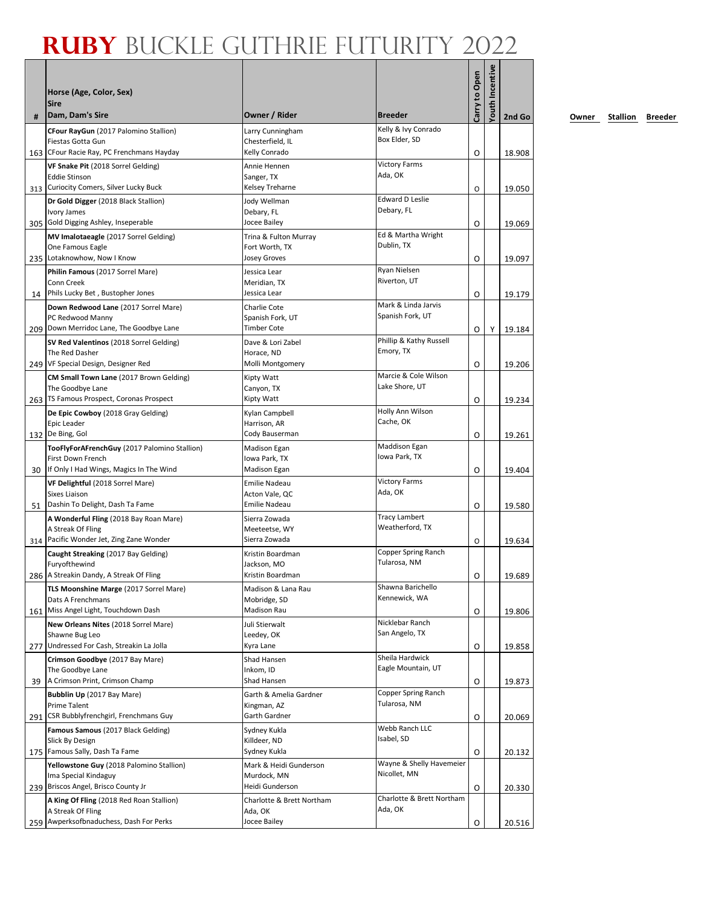| #  | Horse (Age, Color, Sex)<br>Sire<br>Dam, Dam's Sire                               | Owner / Rider<br><b>Breeder</b>                                           | Carry to Open | Youth Incentive | 2nd Go |
|----|----------------------------------------------------------------------------------|---------------------------------------------------------------------------|---------------|-----------------|--------|
|    | CFour RayGun (2017 Palomino Stallion)                                            | Kelly & Ivy Conrado<br>Larry Cunningham                                   |               |                 |        |
|    | Fiestas Gotta Gun                                                                | Box Elder, SD<br>Chesterfield, IL                                         |               |                 |        |
|    | 163 CFour Racie Ray, PC Frenchmans Hayday                                        | Kelly Conrado                                                             | O             |                 | 18.908 |
|    | VF Snake Pit (2018 Sorrel Gelding)                                               | <b>Victory Farms</b><br>Annie Hennen<br>Ada, OK                           |               |                 |        |
|    | <b>Eddie Stinson</b><br>313 Curiocity Comers, Silver Lucky Buck                  | Sanger, TX<br>Kelsey Treharne                                             | O             |                 | 19.050 |
|    | Dr Gold Digger (2018 Black Stallion)                                             | <b>Edward D Leslie</b><br>Jody Wellman                                    |               |                 |        |
|    | Ivory James                                                                      | Debary, FL<br>Debary, FL                                                  |               |                 |        |
|    | 305 Gold Digging Ashley, Inseperable                                             | Jocee Bailey                                                              | O             |                 | 19.069 |
|    | MV Imalotaeagle (2017 Sorrel Gelding)                                            | Ed & Martha Wright<br>Trina & Fulton Murray<br>Dublin, TX                 |               |                 |        |
|    | One Famous Eagle<br>235 Lotaknowhow, Now I Know                                  | Fort Worth, TX<br>Josey Groves                                            | O             |                 | 19.097 |
|    | Philin Famous (2017 Sorrel Mare)                                                 | Ryan Nielsen<br>Jessica Lear                                              |               |                 |        |
|    | Conn Creek                                                                       | Riverton, UT<br>Meridian, TX                                              |               |                 |        |
| 14 | Phils Lucky Bet, Bustopher Jones                                                 | Jessica Lear                                                              | O             |                 | 19.179 |
|    | Down Redwood Lane (2017 Sorrel Mare)                                             | Mark & Linda Jarvis<br>Charlie Cote<br>Spanish Fork, UT                   |               |                 |        |
|    | PC Redwood Manny<br>209 Down Merridoc Lane, The Goodbye Lane                     | Spanish Fork, UT<br><b>Timber Cote</b>                                    | O             | Υ               | 19.184 |
|    | SV Red Valentinos (2018 Sorrel Gelding)                                          | Phillip & Kathy Russell<br>Dave & Lori Zabel                              |               |                 |        |
|    | The Red Dasher                                                                   | Emory, TX<br>Horace, ND                                                   |               |                 |        |
|    | 249   VF Special Design, Designer Red                                            | Molli Montgomery                                                          | O             |                 | 19.206 |
|    | CM Small Town Lane (2017 Brown Gelding)                                          | Marcie & Cole Wilson<br>Kipty Watt<br>Lake Shore, UT                      |               |                 |        |
|    | The Goodbye Lane<br>263   TS Famous Prospect, Coronas Prospect                   | Canyon, TX<br>Kipty Watt                                                  | O             |                 | 19.234 |
|    | De Epic Cowboy (2018 Gray Gelding)                                               | Holly Ann Wilson<br>Kylan Campbell                                        |               |                 |        |
|    | Epic Leader                                                                      | Cache, OK<br>Harrison, AR                                                 |               |                 |        |
|    | 132 De Bing, Gol                                                                 | Cody Bauserman                                                            | O             |                 | 19.261 |
|    | TooFlyForAFrenchGuy (2017 Palomino Stallion)                                     | Maddison Egan<br>Madison Egan<br>Iowa Park, TX                            |               |                 |        |
| 30 | First Down French<br>If Only I Had Wings, Magics In The Wind                     | Iowa Park, TX<br>Madison Egan                                             | O             |                 | 19.404 |
|    | VF Delightful (2018 Sorrel Mare)                                                 | <b>Victory Farms</b><br>Emilie Nadeau                                     |               |                 |        |
|    | Sixes Liaison                                                                    | Ada, OK<br>Acton Vale, QC                                                 |               |                 |        |
| 51 | Dashin To Delight, Dash Ta Fame                                                  | Emilie Nadeau                                                             | O             |                 | 19.580 |
|    | A Wonderful Fling (2018 Bay Roan Mare)<br>A Streak Of Fling                      | <b>Tracy Lambert</b><br>Sierra Zowada<br>Weatherford, TX<br>Meeteetse, WY |               |                 |        |
|    | 314 Pacific Wonder Jet, Zing Zane Wonder                                         | Sierra Zowada                                                             | O             |                 | 19.634 |
|    | Caught Streaking (2017 Bay Gelding)                                              | Copper Spring Ranch<br>Kristin Boardman                                   |               |                 |        |
|    | Furyofthewind                                                                    | Tularosa, NM<br>Jackson, MO                                               |               |                 |        |
|    | 286 A Streakin Dandy, A Streak Of Fling                                          | Kristin Boardman                                                          | O             |                 | 19.689 |
|    | TLS Moonshine Marge (2017 Sorrel Mare)<br>Dats A Frenchmans                      | Shawna Barichello<br>Madison & Lana Rau<br>Kennewick, WA<br>Mobridge, SD  |               |                 |        |
|    | 161 Miss Angel Light, Touchdown Dash                                             | Madison Rau                                                               | O             |                 | 19.806 |
|    | New Orleans Nites (2018 Sorrel Mare)                                             | Nicklebar Ranch<br>Juli Stierwalt                                         |               |                 |        |
|    | Shawne Bug Leo                                                                   | San Angelo, TX<br>Leedey, OK                                              |               |                 |        |
|    | 277 Undressed For Cash, Streakin La Jolla                                        | Kyra Lane<br>Sheila Hardwick                                              | O             |                 | 19.858 |
|    | Crimson Goodbye (2017 Bay Mare)<br>The Goodbye Lane                              | Shad Hansen<br>Eagle Mountain, UT<br>Inkom, ID                            |               |                 |        |
| 39 | A Crimson Print, Crimson Champ                                                   | Shad Hansen                                                               | O             |                 | 19.873 |
|    | Bubblin Up (2017 Bay Mare)                                                       | Copper Spring Ranch<br>Garth & Amelia Gardner                             |               |                 |        |
|    | Prime Talent                                                                     | Tularosa, NM<br>Kingman, AZ<br>Garth Gardner                              |               |                 |        |
|    | 291   CSR Bubblyfrenchgirl, Frenchmans Guy<br>Famous Samous (2017 Black Gelding) | Webb Ranch LLC<br>Sydney Kukla                                            | O             |                 | 20.069 |
|    | Slick By Design                                                                  | Isabel, SD<br>Killdeer, ND                                                |               |                 |        |
|    | 175 Famous Sally, Dash Ta Fame                                                   | Sydney Kukla                                                              | O             |                 | 20.132 |
|    | Yellowstone Guy (2018 Palomino Stallion)                                         | Wayne & Shelly Havemeier<br>Mark & Heidi Gunderson                        |               |                 |        |
|    | Ima Special Kindaguy<br>239 Briscos Angel, Brisco County Jr                      | Nicollet, MN<br>Murdock, MN<br>Heidi Gunderson                            |               |                 |        |
|    | A King Of Fling (2018 Red Roan Stallion)                                         | Charlotte & Brett Northam<br>Charlotte & Brett Northam                    | O             |                 | 20.330 |
|    | A Streak Of Fling                                                                | Ada, OK<br>Ada, OK                                                        |               |                 |        |
|    | 259 Awperksofbnaduchess, Dash For Perks                                          | Jocee Bailey                                                              | O             |                 | 20.516 |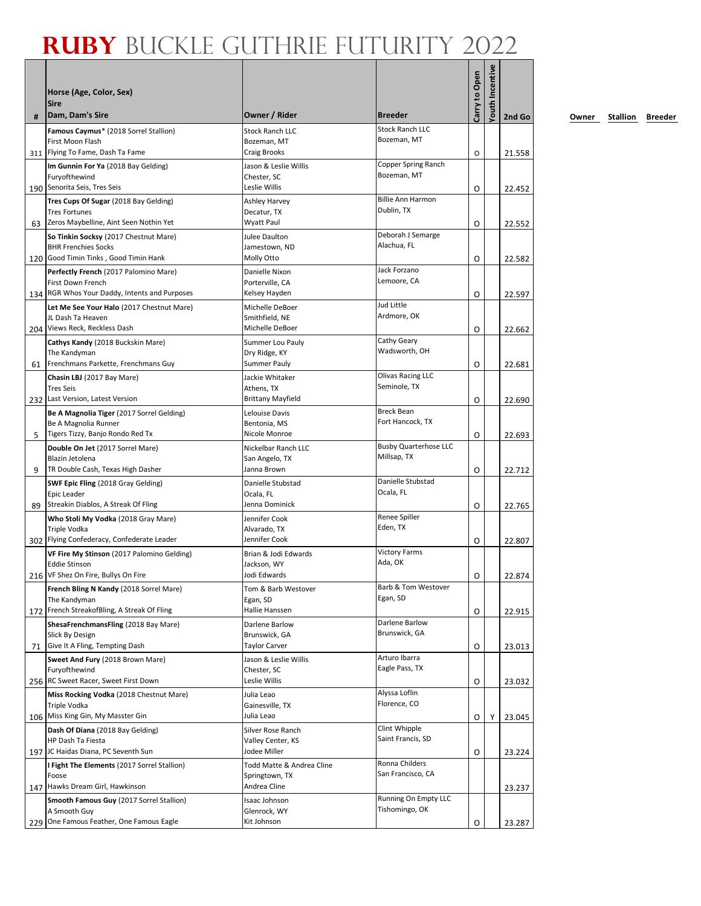|     | Horse (Age, Color, Sex)<br><b>Sire</b>                                                                  |                                            | <b>Breeder</b>                              | Carry to Open | fouth Incentive |        |
|-----|---------------------------------------------------------------------------------------------------------|--------------------------------------------|---------------------------------------------|---------------|-----------------|--------|
| #   | Dam, Dam's Sire                                                                                         | Owner / Rider                              |                                             |               |                 | 2nd Go |
|     | Famous Caymus* (2018 Sorrel Stallion)<br>First Moon Flash                                               | <b>Stock Ranch LLC</b><br>Bozeman, MT      | <b>Stock Ranch LLC</b><br>Bozeman, MT       |               |                 |        |
| 311 | Flying To Fame, Dash Ta Fame                                                                            | <b>Craig Brooks</b>                        |                                             | O             |                 | 21.558 |
|     | Im Gunnin For Ya (2018 Bay Gelding)<br>Furyofthewind                                                    | Jason & Leslie Willis<br>Chester. SC       | Copper Spring Ranch<br>Bozeman, MT          |               |                 |        |
|     | 190 Senorita Seis, Tres Seis                                                                            | Leslie Willis                              |                                             | O             |                 | 22.452 |
| 63  | Tres Cups Of Sugar (2018 Bay Gelding)<br><b>Tres Fortunes</b><br>Zeros Maybelline, Aint Seen Nothin Yet | Ashley Harvey<br>Decatur, TX<br>Wyatt Paul | <b>Billie Ann Harmon</b><br>Dublin, TX      | O             |                 | 22.552 |
|     | So Tinkin Socksy (2017 Chestnut Mare)                                                                   | Julee Daulton                              | Deborah J Semarge                           |               |                 |        |
|     | <b>BHR Frenchies Socks</b><br>120 Good Timin Tinks, Good Timin Hank                                     | Jamestown, ND<br>Molly Otto                | Alachua, FL                                 | O             |                 | 22.582 |
|     | Perfectly French (2017 Palomino Mare)                                                                   | Danielle Nixon                             | Jack Forzano                                |               |                 |        |
|     | First Down French                                                                                       | Porterville, CA                            | Lemoore, CA                                 |               |                 |        |
|     | 134 RGR Whos Your Daddy, Intents and Purposes                                                           | Kelsey Hayden                              |                                             | O             |                 | 22.597 |
|     | Let Me See Your Halo (2017 Chestnut Mare)                                                               | Michelle DeBoer                            | Jud Little                                  |               |                 |        |
|     | JL Dash Ta Heaven                                                                                       | Smithfield, NE                             | Ardmore, OK                                 |               |                 |        |
|     | 204 Views Reck, Reckless Dash                                                                           | Michelle DeBoer                            |                                             | O             |                 | 22.662 |
|     | Cathys Kandy (2018 Buckskin Mare)<br>The Kandyman                                                       | Summer Lou Pauly                           | Cathy Geary<br>Wadsworth, OH                |               |                 |        |
| 61  | Frenchmans Parkette, Frenchmans Guy                                                                     | Dry Ridge, KY<br>Summer Pauly              |                                             | O             |                 | 22.681 |
|     | Chasin LBJ (2017 Bay Mare)                                                                              | Jackie Whitaker                            | <b>Olivas Racing LLC</b>                    |               |                 |        |
|     | <b>Tres Seis</b>                                                                                        | Athens, TX                                 | Seminole, TX                                |               |                 |        |
|     | 232 Last Version, Latest Version                                                                        | <b>Brittany Mayfield</b>                   |                                             | O             |                 | 22.690 |
|     | Be A Magnolia Tiger (2017 Sorrel Gelding)                                                               | Lelouise Davis                             | <b>Breck Bean</b>                           |               |                 |        |
|     | Be A Magnolia Runner                                                                                    | Bentonia, MS                               | Fort Hancock, TX                            |               |                 |        |
| 5   | Tigers Tizzy, Banjo Rondo Red Tx                                                                        | Nicole Monroe                              |                                             | O             |                 | 22.693 |
|     | Double On Jet (2017 Sorrel Mare)<br>Blazin Jetolena                                                     | Nickelbar Ranch LLC<br>San Angelo, TX      | <b>Busby Quarterhose LLC</b><br>Millsap, TX |               |                 |        |
| 9   | TR Double Cash, Texas High Dasher                                                                       | Janna Brown                                |                                             | O             |                 | 22.712 |
|     | SWF Epic Fling (2018 Gray Gelding)                                                                      | Danielle Stubstad                          | Danielle Stubstad                           |               |                 |        |
|     | Epic Leader                                                                                             | Ocala, FL                                  | Ocala, FL                                   |               |                 |        |
| 89  | Streakin Diablos, A Streak Of Fling                                                                     | Jenna Dominick                             |                                             | O             |                 | 22.765 |
|     | Who Stoli My Vodka (2018 Gray Mare)                                                                     | Jennifer Cook                              | Renee Spiller                               |               |                 |        |
|     | Triple Vodka<br>302 Flying Confederacy, Confederate Leader                                              | Alvarado, TX<br>Jennifer Cook              | Eden, TX                                    |               |                 |        |
|     |                                                                                                         | Brian & Jodi Edwards                       | <b>Victory Farms</b>                        | O             |                 | 22.807 |
|     | VF Fire My Stinson (2017 Palomino Gelding)<br>Eddie Stinson                                             | Jackson, WY                                | Ada, OK                                     |               |                 |        |
|     | 216 VF Shez On Fire, Bullys On Fire                                                                     | Jodi Edwards                               |                                             | Ο             |                 | 22.874 |
|     | French Bling N Kandy (2018 Sorrel Mare)                                                                 | Tom & Barb Westover                        | Barb & Tom Westover                         |               |                 |        |
|     | The Kandyman                                                                                            | Egan, SD                                   | Egan, SD                                    |               |                 |        |
|     | 172 French StreakofBling, A Streak Of Fling                                                             | Hallie Hanssen                             |                                             | O             |                 | 22.915 |
|     | ShesaFrenchmansFling (2018 Bay Mare)                                                                    | Darlene Barlow                             | Darlene Barlow<br>Brunswick, GA             |               |                 |        |
| 71  | Slick By Design<br>Give It A Fling, Tempting Dash                                                       | Brunswick, GA<br><b>Taylor Carver</b>      |                                             | O             |                 | 23.013 |
|     | Sweet And Fury (2018 Brown Mare)                                                                        | Jason & Leslie Willis                      | Arturo Ibarra                               |               |                 |        |
|     | Furyofthewind                                                                                           | Chester, SC                                | Eagle Pass, TX                              |               |                 |        |
|     | 256 RC Sweet Racer, Sweet First Down                                                                    | Leslie Willis                              |                                             | O             |                 | 23.032 |
|     | Miss Rocking Vodka (2018 Chestnut Mare)                                                                 | Julia Leao                                 | Alyssa Loflin                               |               |                 |        |
|     | Triple Vodka                                                                                            | Gainesville, TX                            | Florence, CO                                |               |                 |        |
|     | 106 Miss King Gin, My Masster Gin                                                                       | Julia Leao                                 |                                             | 0             | Υ               | 23.045 |
|     | Dash Of Diana (2018 Bay Gelding)<br>HP Dash Ta Fiesta                                                   | Silver Rose Ranch<br>Valley Center, KS     | Clint Whipple<br>Saint Francis, SD          |               |                 |        |
|     | 197 JC Haidas Diana, PC Seventh Sun                                                                     | Jodee Miller                               |                                             | O             |                 | 23.224 |
|     | I Fight The Elements (2017 Sorrel Stallion)                                                             | Todd Matte & Andrea Cline                  | Ronna Childers                              |               |                 |        |
|     | Foose                                                                                                   | Springtown, TX                             | San Francisco, CA                           |               |                 |        |
|     | 147 Hawks Dream Girl, Hawkinson                                                                         | Andrea Cline                               |                                             |               |                 | 23.237 |
|     | Smooth Famous Guy (2017 Sorrel Stallion)                                                                | Isaac Johnson                              | Running On Empty LLC                        |               |                 |        |
|     | A Smooth Guy                                                                                            | Glenrock, WY                               | Tishomingo, OK                              |               |                 |        |
|     | 229 One Famous Feather, One Famous Eagle                                                                | Kit Johnson                                |                                             | O             |                 | 23.287 |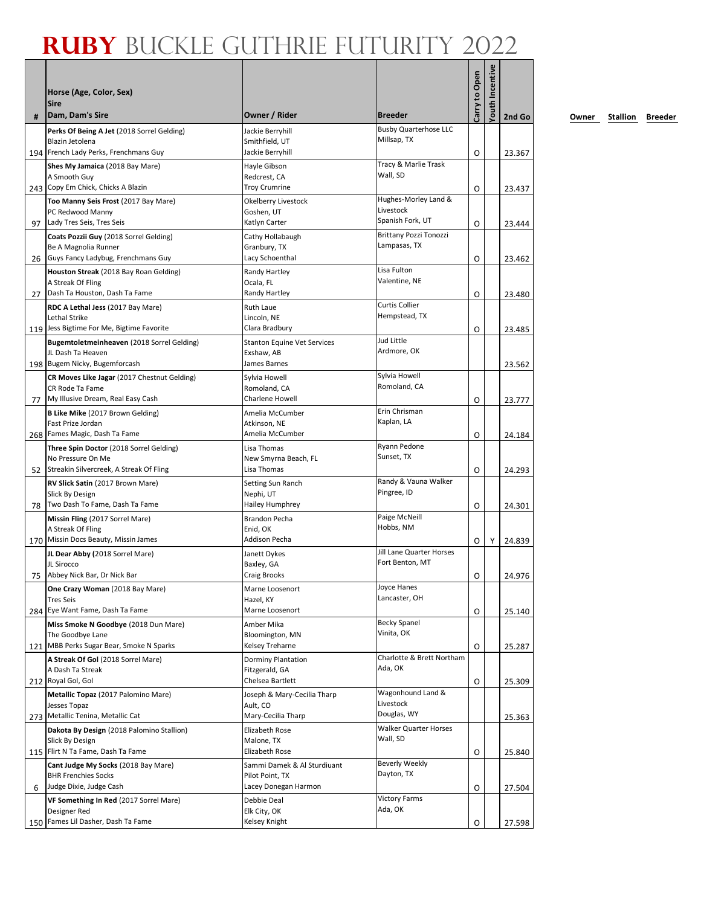| #  | Horse (Age, Color, Sex)<br><b>Sire</b><br>Dam, Dam's Sire                | Owner / Rider                        | <b>Breeder</b>                       | Carry to Open | fouth Incentive | 2nd Go |
|----|--------------------------------------------------------------------------|--------------------------------------|--------------------------------------|---------------|-----------------|--------|
|    | Perks Of Being A Jet (2018 Sorrel Gelding)                               | Jackie Berryhill                     | <b>Busby Quarterhose LLC</b>         |               |                 |        |
|    | Blazin Jetolena                                                          | Smithfield, UT                       | Millsap, TX                          |               |                 |        |
|    | 194 French Lady Perks, Frenchmans Guy<br>Shes My Jamaica (2018 Bay Mare) | Jackie Berryhill<br>Hayle Gibson     | Tracy & Marlie Trask                 | O             |                 | 23.367 |
|    | A Smooth Guy<br>243 Copy Em Chick, Chicks A Blazin                       | Redcrest, CA<br><b>Troy Crumrine</b> | Wall, SD                             | O             |                 | 23.437 |
|    | Too Manny Seis Frost (2017 Bay Mare)                                     | Okelberry Livestock                  | Hughes-Morley Land &                 |               |                 |        |
|    | PC Redwood Manny                                                         | Goshen, UT                           | Livestock<br>Spanish Fork, UT        |               |                 |        |
| 97 | Lady Tres Seis, Tres Seis<br>Coats Pozzii Guy (2018 Sorrel Gelding)      | Katlyn Carter<br>Cathy Hollabaugh    | Brittany Pozzi Tonozzi               | O             |                 | 23.444 |
|    | Be A Magnolia Runner                                                     | Granbury, TX                         | Lampasas, TX                         |               |                 |        |
| 26 | Guys Fancy Ladybug, Frenchmans Guy                                       | Lacy Schoenthal                      |                                      | O             |                 | 23.462 |
|    | Houston Streak (2018 Bay Roan Gelding)                                   | Randy Hartley                        | Lisa Fulton<br>Valentine, NE         |               |                 |        |
| 27 | A Streak Of Fling<br>Dash Ta Houston, Dash Ta Fame                       | Ocala, FL<br>Randy Hartley           |                                      | O             |                 | 23.480 |
|    | RDC A Lethal Jess (2017 Bay Mare)                                        | <b>Ruth Laue</b>                     | <b>Curtis Collier</b>                |               |                 |        |
|    | Lethal Strike                                                            | Lincoln, NE                          | Hempstead, TX                        |               |                 |        |
|    | 119 Jess Bigtime For Me, Bigtime Favorite                                | Clara Bradbury                       |                                      | O             |                 | 23.485 |
|    | Bugemtoletmeinheaven (2018 Sorrel Gelding)                               | <b>Stanton Equine Vet Services</b>   | Jud Little<br>Ardmore, OK            |               |                 |        |
|    | JL Dash Ta Heaven<br>198 Bugem Nicky, Bugemforcash                       | Exshaw, AB<br>James Barnes           |                                      |               |                 | 23.562 |
|    | CR Moves Like Jagar (2017 Chestnut Gelding)                              | Sylvia Howell                        | Sylvia Howell                        |               |                 |        |
|    | CR Rode Ta Fame                                                          | Romoland, CA                         | Romoland, CA                         |               |                 |        |
| 77 | My Illusive Dream, Real Easy Cash                                        | Charlene Howell                      |                                      | O             |                 | 23.777 |
|    | <b>B Like Mike (2017 Brown Gelding)</b><br>Fast Prize Jordan             | Amelia McCumber<br>Atkinson, NE      | Erin Chrisman<br>Kaplan, LA          |               |                 |        |
|    | 268 Fames Magic, Dash Ta Fame                                            | Amelia McCumber                      |                                      | O             |                 | 24.184 |
|    | Three Spin Doctor (2018 Sorrel Gelding)                                  | Lisa Thomas                          | Ryann Pedone                         |               |                 |        |
|    | No Pressure On Me                                                        | New Smyrna Beach, FL                 | Sunset, TX                           |               |                 |        |
| 52 | Streakin Silvercreek, A Streak Of Fling                                  | Lisa Thomas                          | Randy & Vauna Walker                 | O             |                 | 24.293 |
|    | RV Slick Satin (2017 Brown Mare)<br>Slick By Design                      | Setting Sun Ranch<br>Nephi, UT       | Pingree, ID                          |               |                 |        |
| 78 | Two Dash To Fame, Dash Ta Fame                                           | Hailey Humphrey                      |                                      | O             |                 | 24.301 |
|    | Missin Fling (2017 Sorrel Mare)                                          | Brandon Pecha                        | Paige McNeill                        |               |                 |        |
|    | A Streak Of Fling<br>170 Missin Docs Beauty, Missin James                | Enid, OK<br>Addison Pecha            | Hobbs, NM                            |               |                 |        |
|    | JL Dear Abby (2018 Sorrel Mare)                                          | Janett Dykes                         | Jill Lane Quarter Horses             | 0             | Υ               | 24.839 |
|    | JL Sirocco                                                               | Baxley, GA                           | Fort Benton, MT                      |               |                 |        |
|    | 75 Abbey Nick Bar, Dr Nick Bar                                           | Craig Brooks                         |                                      | O             |                 | 24.976 |
|    | One Crazy Woman (2018 Bay Mare)                                          | Marne Loosenort                      | Joyce Hanes                          |               |                 |        |
|    | <b>Tres Seis</b><br>284 Eye Want Fame, Dash Ta Fame                      | Hazel, KY<br>Marne Loosenort         | Lancaster, OH                        | O             |                 | 25.140 |
|    | Miss Smoke N Goodbye (2018 Dun Mare)                                     | Amber Mika                           | Becky Spanel                         |               |                 |        |
|    | The Goodbye Lane                                                         | Bloomington, MN                      | Vinita, OK                           |               |                 |        |
|    | 121 MBB Perks Sugar Bear, Smoke N Sparks                                 | Kelsey Treharne                      |                                      | O             |                 | 25.287 |
|    | A Streak Of Gol (2018 Sorrel Mare)<br>A Dash Ta Streak                   | Dorminy Plantation<br>Fitzgerald, GA | Charlotte & Brett Northam<br>Ada, OK |               |                 |        |
|    | 212 Royal Gol, Gol                                                       | Chelsea Bartlett                     |                                      | O             |                 | 25.309 |
|    | Metallic Topaz (2017 Palomino Mare)                                      | Joseph & Mary-Cecilia Tharp          | Wagonhound Land &                    |               |                 |        |
|    | Jesses Topaz                                                             | Ault, CO                             | Livestock                            |               |                 |        |
|    | 273 Metallic Tenina, Metallic Cat                                        | Mary-Cecilia Tharp                   | Douglas, WY<br>Walker Quarter Horses |               |                 | 25.363 |
|    | Dakota By Design (2018 Palomino Stallion)<br>Slick By Design             | Elizabeth Rose<br>Malone, TX         | Wall, SD                             |               |                 |        |
|    | 115 Flirt N Ta Fame, Dash Ta Fame                                        | Elizabeth Rose                       |                                      | O             |                 | 25.840 |
|    | Cant Judge My Socks (2018 Bay Mare)                                      | Sammi Damek & Al Sturdiuant          | <b>Beverly Weekly</b>                |               |                 |        |
|    | <b>BHR Frenchies Socks</b><br>Judge Dixie, Judge Cash                    | Pilot Point, TX                      | Dayton, TX                           |               |                 |        |
| 6  | VF Something In Red (2017 Sorrel Mare)                                   | Lacey Donegan Harmon<br>Debbie Deal  | <b>Victory Farms</b>                 | Ο             |                 | 27.504 |
|    | Designer Red                                                             | Elk City, OK                         | Ada, OK                              |               |                 |        |
|    | 150 Fames Lil Dasher, Dash Ta Fame                                       | Kelsey Knight                        |                                      | O             |                 | 27.598 |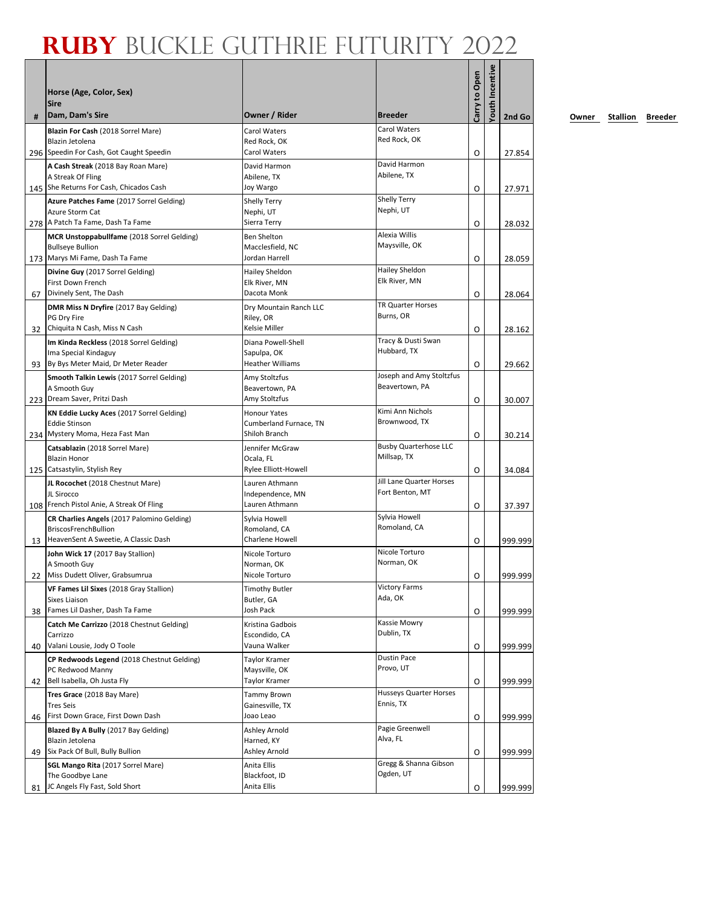|    | Horse (Age, Color, Sex)<br><b>Sire</b>                                                            | Owner / Rider                                | <b>Breeder</b>                   | Carry to Open | fouth Incentive |         |
|----|---------------------------------------------------------------------------------------------------|----------------------------------------------|----------------------------------|---------------|-----------------|---------|
| #  | Dam, Dam's Sire                                                                                   |                                              | Carol Waters                     |               |                 | 2nd Go  |
|    | Blazin For Cash (2018 Sorrel Mare)<br>Blazin Jetolena<br>296 Speedin For Cash, Got Caught Speedin | Carol Waters<br>Red Rock, OK<br>Carol Waters | Red Rock, OK                     | O             |                 | 27.854  |
|    | A Cash Streak (2018 Bay Roan Mare)                                                                | David Harmon                                 | David Harmon                     |               |                 |         |
|    | A Streak Of Fling                                                                                 | Abilene, TX                                  | Abilene, TX                      |               |                 |         |
|    | 145 She Returns For Cash, Chicados Cash                                                           | Joy Wargo                                    |                                  | O             |                 | 27.971  |
|    | Azure Patches Fame (2017 Sorrel Gelding)<br>Azure Storm Cat                                       | <b>Shelly Terry</b>                          | <b>Shelly Terry</b><br>Nephi, UT |               |                 |         |
|    | 278 A Patch Ta Fame, Dash Ta Fame                                                                 | Nephi, UT<br>Sierra Terry                    |                                  | O             |                 | 28.032  |
|    | MCR Unstoppabullfame (2018 Sorrel Gelding)                                                        | <b>Ben Shelton</b>                           | Alexia Willis                    |               |                 |         |
|    | <b>Bullseye Bullion</b>                                                                           | Macclesfield, NC                             | Maysville, OK                    |               |                 |         |
|    | 173 Marys Mi Fame, Dash Ta Fame                                                                   | Jordan Harrell                               |                                  | O             |                 | 28.059  |
|    | Divine Guy (2017 Sorrel Gelding)                                                                  | Hailey Sheldon                               | Hailey Sheldon<br>Elk River, MN  |               |                 |         |
| 67 | First Down French<br>Divinely Sent, The Dash                                                      | Elk River, MN<br>Dacota Monk                 |                                  | O             |                 | 28.064  |
|    | DMR Miss N Dryfire (2017 Bay Gelding)                                                             | Dry Mountain Ranch LLC                       | TR Quarter Horses                |               |                 |         |
|    | PG Dry Fire                                                                                       | Riley, OR                                    | Burns, OR                        |               |                 |         |
|    | 32 Chiquita N Cash, Miss N Cash                                                                   | <b>Kelsie Miller</b>                         |                                  | O             |                 | 28.162  |
|    | Im Kinda Reckless (2018 Sorrel Gelding)                                                           | Diana Powell-Shell                           | Tracy & Dusti Swan               |               |                 |         |
|    | Ima Special Kindaguy<br>93 By Bys Meter Maid, Dr Meter Reader                                     | Sapulpa, OK<br><b>Heather Williams</b>       | Hubbard, TX                      | O             |                 | 29.662  |
|    | Smooth Talkin Lewis (2017 Sorrel Gelding)                                                         | Amy Stoltzfus                                | Joseph and Amy Stoltzfus         |               |                 |         |
|    | A Smooth Guy                                                                                      | Beavertown, PA                               | Beavertown, PA                   |               |                 |         |
|    | 223 Dream Saver, Pritzi Dash                                                                      | Amy Stoltzfus                                |                                  | O             |                 | 30.007  |
|    | KN Eddie Lucky Aces (2017 Sorrel Gelding)                                                         | <b>Honour Yates</b>                          | Kimi Ann Nichols                 |               |                 |         |
|    | <b>Eddie Stinson</b><br>234 Mystery Moma, Heza Fast Man                                           | Cumberland Furnace, TN<br>Shiloh Branch      | Brownwood, TX                    |               |                 |         |
|    | Catsablazin (2018 Sorrel Mare)                                                                    | Jennifer McGraw                              | <b>Busby Quarterhose LLC</b>     | O             |                 | 30.214  |
|    | <b>Blazin Honor</b>                                                                               | Ocala, FL                                    | Millsap, TX                      |               |                 |         |
|    | 125 Catsastylin, Stylish Rey                                                                      | Rylee Elliott-Howell                         |                                  | O             |                 | 34.084  |
|    | JL Rocochet (2018 Chestnut Mare)                                                                  | Lauren Athmann                               | Jill Lane Quarter Horses         |               |                 |         |
|    | JL Sirocco<br>108 French Pistol Anie, A Streak Of Fling                                           | Independence, MN<br>Lauren Athmann           | Fort Benton, MT                  |               |                 |         |
|    | CR Charlies Angels (2017 Palomino Gelding)                                                        | Sylvia Howell                                | Sylvia Howell                    | O             |                 | 37.397  |
|    | <b>BriscosFrenchBullion</b>                                                                       | Romoland, CA                                 | Romoland, CA                     |               |                 |         |
| 13 | HeavenSent A Sweetie, A Classic Dash                                                              | Charlene Howell                              |                                  | O             |                 | 999.999 |
|    | John Wick 17 (2017 Bay Stallion)                                                                  | Nicole Torturo                               | Nicole Torturo                   |               |                 |         |
|    | A Smooth Guy<br>22 Miss Dudett Oliver, Grabsumrua                                                 | Norman, OK<br>Nicole Torturo                 | Norman, OK                       |               |                 |         |
|    |                                                                                                   |                                              | <b>Victory Farms</b>             | 0             |                 | 999.999 |
|    | VF Fames Lil Sixes (2018 Gray Stallion)<br>Sixes Liaison                                          | <b>Timothy Butler</b><br>Butler, GA          | Ada, OK                          |               |                 |         |
| 38 | Fames Lil Dasher, Dash Ta Fame                                                                    | Josh Pack                                    |                                  | O             |                 | 999.999 |
|    | Catch Me Carrizzo (2018 Chestnut Gelding)                                                         | Kristina Gadbois                             | Kassie Mowry                     |               |                 |         |
|    | Carrizzo                                                                                          | Escondido, CA                                | Dublin, TX                       |               |                 |         |
| 40 | Valani Lousie, Jody O Toole                                                                       | Vauna Walker                                 | <b>Dustin Pace</b>               | O             |                 | 999.999 |
|    | CP Redwoods Legend (2018 Chestnut Gelding)<br>PC Redwood Manny                                    | <b>Taylor Kramer</b><br>Maysville, OK        | Provo, UT                        |               |                 |         |
| 42 | Bell Isabella, Oh Justa Fly                                                                       | <b>Taylor Kramer</b>                         |                                  | O             |                 | 999.999 |
|    | Tres Grace (2018 Bay Mare)                                                                        | <b>Tammy Brown</b>                           | Husseys Quarter Horses           |               |                 |         |
|    | <b>Tres Seis</b>                                                                                  | Gainesville, TX                              | Ennis, TX                        |               |                 |         |
| 46 | First Down Grace, First Down Dash                                                                 | Joao Leao                                    | Pagie Greenwell                  | O             |                 | 999.999 |
|    | Blazed By A Bully (2017 Bay Gelding)<br>Blazin Jetolena                                           | Ashley Arnold<br>Harned, KY                  | Alva, FL                         |               |                 |         |
| 49 | Six Pack Of Bull, Bully Bullion                                                                   | Ashley Arnold                                |                                  | O             |                 | 999.999 |
|    | SGL Mango Rita (2017 Sorrel Mare)                                                                 | Anita Ellis                                  | Gregg & Shanna Gibson            |               |                 |         |
|    | The Goodbye Lane                                                                                  | Blackfoot, ID                                | Ogden, UT                        |               |                 |         |
| 81 | JC Angels Fly Fast, Sold Short                                                                    | Anita Ellis                                  |                                  | O             |                 | 999.999 |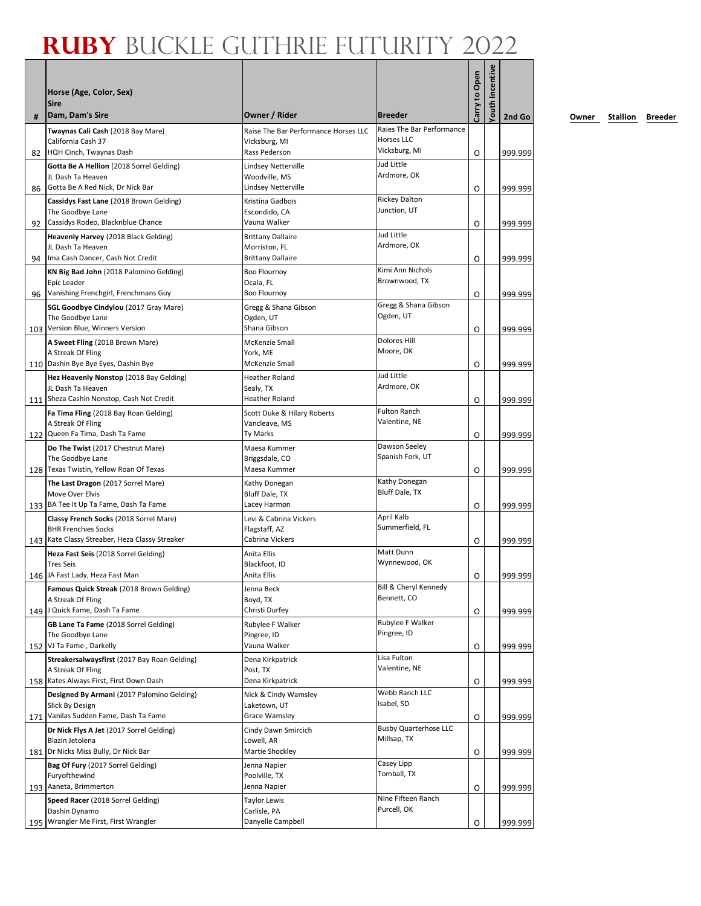|    | Horse (Age, Color, Sex)<br><b>Sire</b>                                                            |                                                             |                                                                 | Carry to Open | <b>/outh Incentive</b> |         |
|----|---------------------------------------------------------------------------------------------------|-------------------------------------------------------------|-----------------------------------------------------------------|---------------|------------------------|---------|
| #  | Dam, Dam's Sire                                                                                   | Owner / Rider                                               | <b>Breeder</b>                                                  |               |                        | 2nd Go  |
|    | Twaynas Cali Cash (2018 Bay Mare)<br>California Cash 37                                           | Raise The Bar Performance Horses LLC<br>Vicksburg, MI       | Raies The Bar Performance<br><b>Horses LLC</b><br>Vicksburg, MI |               |                        |         |
| 82 | HQH Cinch, Twaynas Dash                                                                           | Rass Pederson                                               | Jud Little                                                      | O             |                        | 999.999 |
| 86 | Gotta Be A Hellion (2018 Sorrel Gelding)<br>JL Dash Ta Heaven<br>Gotta Be A Red Nick, Dr Nick Bar | Lindsey Netterville<br>Woodville, MS<br>Lindsey Netterville | Ardmore, OK                                                     | O             |                        | 999.999 |
|    | Cassidys Fast Lane (2018 Brown Gelding)                                                           | Kristina Gadbois                                            | <b>Rickey Dalton</b>                                            |               |                        |         |
| 92 | The Goodbye Lane<br>Cassidys Rodeo, Blacknblue Chance                                             | Escondido, CA<br>Vauna Walker                               | Junction, UT                                                    | O             |                        | 999.999 |
|    | Heavenly Harvey (2018 Black Gelding)                                                              | <b>Brittany Dallaire</b>                                    | Jud Little                                                      |               |                        |         |
|    | JL Dash Ta Heaven                                                                                 | Morriston, FL                                               | Ardmore, OK                                                     |               |                        |         |
| 94 | Ima Cash Dancer, Cash Not Credit                                                                  | <b>Brittany Dallaire</b>                                    |                                                                 | O             |                        | 999.999 |
|    | KN Big Bad John (2018 Palomino Gelding)                                                           | <b>Boo Flournoy</b>                                         | Kimi Ann Nichols<br>Brownwood, TX                               |               |                        |         |
|    | Epic Leader<br>Vanishing Frenchgirl, Frenchmans Guy                                               | Ocala, FL<br><b>Boo Flournoy</b>                            |                                                                 |               |                        |         |
| 96 |                                                                                                   |                                                             | Gregg & Shana Gibson                                            | O             |                        | 999.999 |
|    | SGL Goodbye Cindylou (2017 Gray Mare)<br>The Goodbye Lane                                         | Gregg & Shana Gibson<br>Ogden, UT                           | Ogden, UT                                                       |               |                        |         |
|    | 103 Version Blue, Winners Version                                                                 | Shana Gibson                                                |                                                                 | O             |                        | 999.999 |
|    | A Sweet Fling (2018 Brown Mare)                                                                   | <b>McKenzie Small</b>                                       | <b>Dolores Hill</b>                                             |               |                        |         |
|    | A Streak Of Fling                                                                                 | York, ME                                                    | Moore, OK                                                       |               |                        |         |
|    | 110   Dashin Bye Bye Eyes, Dashin Bye                                                             | <b>McKenzie Small</b>                                       |                                                                 | O             |                        | 999.999 |
|    | Hez Heavenly Nonstop (2018 Bay Gelding)                                                           | Heather Roland                                              | Jud Little                                                      |               |                        |         |
|    | JL Dash Ta Heaven                                                                                 | Sealy, TX                                                   | Ardmore, OK                                                     |               |                        |         |
|    | 111 Sheza Cashin Nonstop, Cash Not Credit                                                         | <b>Heather Roland</b>                                       |                                                                 | 0             |                        | 999.999 |
|    | Fa Tima Fling (2018 Bay Roan Gelding)                                                             | Scott Duke & Hilary Roberts                                 | <b>Fulton Ranch</b><br>Valentine, NE                            |               |                        |         |
|    | A Streak Of Fling<br>122 Queen Fa Tima, Dash Ta Fame                                              | Vancleave, MS<br>Ty Marks                                   |                                                                 | O             |                        | 999.999 |
|    | Do The Twist (2017 Chestnut Mare)                                                                 | Maesa Kummer                                                | Dawson Seeley                                                   |               |                        |         |
|    | The Goodbye Lane                                                                                  | Briggsdale, CO                                              | Spanish Fork, UT                                                |               |                        |         |
|    | 128 Texas Twistin, Yellow Roan Of Texas                                                           | Maesa Kummer                                                |                                                                 | 0             |                        | 999.999 |
|    | The Last Dragon (2017 Sorrel Mare)                                                                | Kathy Donegan                                               | Kathy Donegan                                                   |               |                        |         |
|    | Move Over Elvis                                                                                   | Bluff Dale, TX                                              | Bluff Dale, TX                                                  |               |                        |         |
|    | 133 BA Tee It Up Ta Fame, Dash Ta Fame                                                            | Lacey Harmon                                                |                                                                 | O             |                        | 999.999 |
|    | Classy French Socks (2018 Sorrel Mare)                                                            | Levi & Cabrina Vickers                                      | April Kalb<br>Summerfield, FL                                   |               |                        |         |
|    | <b>BHR Frenchies Socks</b><br>143 Kate Classy Streaber, Heza Classy Streaker                      | Flagstaff, AZ<br>Cabrina Vickers                            |                                                                 | O             |                        |         |
|    |                                                                                                   | Anita Ellis                                                 | Matt Dunn                                                       |               |                        | 999.999 |
|    | Heza Fast Seis (2018 Sorrel Gelding)<br><b>Tres Seis</b>                                          | Blackfoot, ID                                               | Wynnewood, OK                                                   |               |                        |         |
|    | 146 JA Fast Lady, Heza Fast Man                                                                   | Anita Ellis                                                 |                                                                 | O             |                        | 999.999 |
|    | Famous Quick Streak (2018 Brown Gelding)                                                          | Jenna Beck                                                  | Bill & Cheryl Kennedy                                           |               |                        |         |
|    | A Streak Of Fling                                                                                 | Boyd, TX                                                    | Bennett, CO                                                     |               |                        |         |
|    | 149 J Quick Fame, Dash Ta Fame                                                                    | Christi Durfey                                              |                                                                 | O             |                        | 999.999 |
|    | GB Lane Ta Fame (2018 Sorrel Gelding)                                                             | Rubylee F Walker                                            | Rubylee F Walker<br>Pingree, ID                                 |               |                        |         |
|    | The Goodbye Lane<br>152 VJ Ta Fame, Darkelly                                                      | Pingree, ID<br>Vauna Walker                                 |                                                                 |               |                        |         |
|    |                                                                                                   |                                                             | Lisa Fulton                                                     | O             |                        | 999.999 |
|    | Streakersalwaysfirst (2017 Bay Roan Gelding)<br>A Streak Of Fling                                 | Dena Kirkpatrick<br>Post, TX                                | Valentine, NE                                                   |               |                        |         |
|    | 158 Kates Always First, First Down Dash                                                           | Dena Kirkpatrick                                            |                                                                 | O             |                        | 999.999 |
|    | Designed By Armani (2017 Palomino Gelding)                                                        | Nick & Cindy Wamsley                                        | Webb Ranch LLC                                                  |               |                        |         |
|    | Slick By Design                                                                                   | Laketown, UT                                                | Isabel, SD                                                      |               |                        |         |
|    | 171 Vanilas Sudden Fame, Dash Ta Fame                                                             | <b>Grace Wamsley</b>                                        |                                                                 | O             |                        | 999.999 |
|    | Dr Nick Flys A Jet (2017 Sorrel Gelding)                                                          | Cindy Dawn Smircich                                         | <b>Busby Quarterhose LLC</b>                                    |               |                        |         |
|    | Blazin Jetolena                                                                                   | Lowell, AR                                                  | Millsap, TX                                                     |               |                        |         |
|    | 181 Dr Nicks Miss Bully, Dr Nick Bar                                                              | Martie Shockley                                             |                                                                 | O             |                        | 999.999 |
|    | Bag Of Fury (2017 Sorrel Gelding)<br>Furyofthewind                                                | Jenna Napier<br>Poolville, TX                               | Casey Lipp<br>Tomball, TX                                       |               |                        |         |
|    | 193 Aaneta, Brimmerton                                                                            | Jenna Napier                                                |                                                                 | O             |                        | 999.999 |
|    | Speed Racer (2018 Sorrel Gelding)                                                                 | <b>Taylor Lewis</b>                                         | Nine Fifteen Ranch                                              |               |                        |         |
|    | Dashin Dynamo                                                                                     | Carlisle, PA                                                | Purcell, OK                                                     |               |                        |         |
|    | 195 Wrangler Me First, First Wrangler                                                             | Danyelle Campbell                                           |                                                                 | O             |                        | 999.999 |